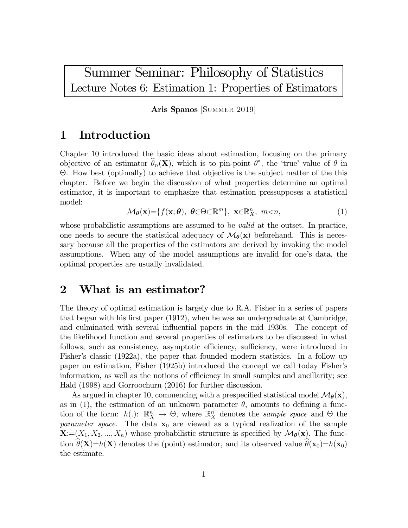# Summer Seminar: Philosophy of Statistics Lecture Notes 6: Estimation 1: Properties of Estimators

Aris Spanos [SUMMER 2019]

# 1 Introduction

Chapter 10 introduced the basic ideas about estimation, focusing on the primary objective of an estimator  $\theta_n(\mathbf{X})$ , which is to pin-point  $\theta^*$ , the 'true' value of  $\theta$  in Θ. How best (optimally) to achieve that objective is the subject matter of the this chapter. Before we begin the discussion of what properties determine an optimal estimator, it is important to emphasize that estimation pressupposes a statistical model:

$$
\mathcal{M}_{\theta}(\mathbf{x}) = \{ f(\mathbf{x}; \theta), \ \theta \in \Theta \subset \mathbb{R}^m \}, \ \mathbf{x} \in \mathbb{R}^n \times \mathbb{R}^m, \ m < n,\tag{1}
$$

whose probabilistic assumptions are assumed to be *valid* at the outset. In practice, one needs to secure the statistical adequacy of  $\mathcal{M}_{\theta}(\mathbf{x})$  beforehand. This is necessary because all the properties of the estimators are derived by invoking the model assumptions. When any of the model assumptions are invalid for one's data, the optimal properties are usually invalidated.

# 2 What is an estimator?

The theory of optimal estimation is largely due to R.A. Fisher in a series of papers that began with his first paper (1912), when he was an undergraduate at Cambridge, and culminated with several influential papers in the mid 1930s. The concept of the likelihood function and several properties of estimators to be discussed in what follows, such as consistency, asymptotic efficiency, sufficiency, were introduced in Fisher's classic (1922a), the paper that founded modern statistics. In a follow up paper on estimation, Fisher (1925b) introduced the concept we call today Fisher's information, as well as the notions of efficiency in small samples and ancillarity; see Hald (1998) and Gorroochurn (2016) for further discussion.

As argued in chapter 10, commencing with a prespecified statistical model  $\mathcal{M}_{\theta}(\mathbf{x})$ , as in (1), the estimation of an unknown parameter  $\theta$ , amounts to defining a function of the form:  $h(.)$ :  $\mathbb{R}^n$   $\to \Theta$ , where  $\mathbb{R}^n$  denotes the *sample space* and  $\Theta$  the parameter space. The data  $x_0$  are viewed as a typical realization of the sample  $\mathbf{X}=(X_1, X_2, ..., X_n)$  whose probabilistic structure is specified by  $\mathcal{M}_{\theta}(\mathbf{x})$ . The function  $\theta(\mathbf{X})=h(\mathbf{X})$  denotes the (point) estimator, and its observed value  $\theta(\mathbf{x}_0)=h(\mathbf{x}_0)$ the estimate.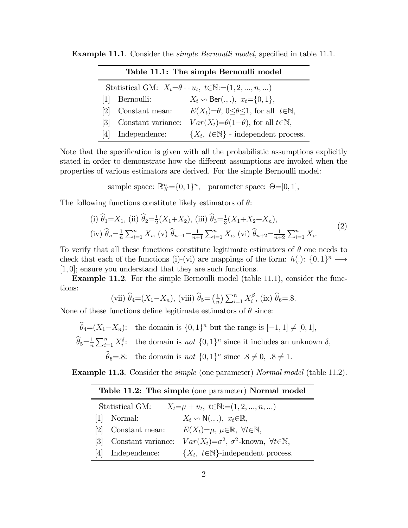| Table 11.1: The simple Bernoulli model                                     |                    |                                                                       |  |
|----------------------------------------------------------------------------|--------------------|-----------------------------------------------------------------------|--|
| Statistical GM: $X_t = \theta + u_t$ , $t \in \mathbb{N} := (1, 2, , n, )$ |                    |                                                                       |  |
|                                                                            | Bernoulli:         | $X_t \backsim \text{Ber}(.,.), x_t = \{0, 1\},\$                      |  |
| 121                                                                        | Constant mean:     | $E(X_t)=\theta$ , $0\leq \theta \leq 1$ , for all $t\in \mathbb{N}$ , |  |
| 131                                                                        | Constant variance: | $Var(X_t) = \theta(1-\theta)$ , for all $t \in \mathbb{N}$ ,          |  |
| 4                                                                          | Independence:      | $\{X_t, t \in \mathbb{N}\}\$ - independent process.                   |  |

**Example 11.1.** Consider the *simple Bernoulli model*, specified in table 11.1.

Note that the specification is given with all the probabilistic assumptions explicitly stated in order to demonstrate how the different assumptions are invoked when the properties of various estimators are derived. For the simple Bernoulli model:

sample space:  $\mathbb{R}^n_X = \{0, 1\}^n$ , parameter space:  $\Theta = [0, 1]$ ,

The following functions constitute likely estimators of  $\theta$ :

(i) 
$$
\hat{\theta}_1 = X_1
$$
, (ii)  $\hat{\theta}_2 = \frac{1}{2}(X_1 + X_2)$ , (iii)  $\hat{\theta}_3 = \frac{1}{3}(X_1 + X_2 + X_n)$ ,  
(iv)  $\hat{\theta}_n = \frac{1}{n} \sum_{i=1}^n X_i$ , (v)  $\hat{\theta}_{n+1} = \frac{1}{n+1} \sum_{i=1}^n X_i$ , (vi)  $\hat{\theta}_{n+2} = \frac{1}{n+2} \sum_{i=1}^n X_i$ . (2)

To verify that all these functions constitute legitimate estimators of  $\theta$  one needs to check that each of the functions (i)-(vi) are mappings of the form:  $h(.)$ :  $\{0,1\}^n \longrightarrow$  $[1, 0]$ ; ensure you understand that they are such functions.

Example 11.2. For the simple Bernoulli model (table 11.1), consider the functions:

(vii) 
$$
\hat{\theta}_4 = (X_1 - X_n)
$$
, (viii)  $\hat{\theta}_5 = \left(\frac{1}{n}\right) \sum_{i=1}^n X_i^{\beta}$ , (ix)  $\hat{\theta}_6 = 8$ .

None of these functions define legitimate estimators of  $\theta$  since:

 $\widehat{\theta}_4=(X_1-X_n):$  the domain is  $\{0,1\}^n$  but the range is  $[-1,1] \neq [0,1],$  $\widehat{\theta}_5 = \frac{1}{n} \sum_{i=1}^n X_i^{\delta}$ : the domain is *not*  $\{0, 1\}^n$  since it includes an unknown  $\delta$ ,  $\widehat{\theta}_6=8$ : the domain is not  $\{0,1\}^n$  since  $.8 \neq 0, .8 \neq 1$ .

**Example 11.3.** Consider the *simple* (one parameter) *Normal model* (table 11.2).

| <b>Table 11.2: The simple</b> (one parameter) <b>Normal model</b>       |                    |                                                                         |  |  |  |
|-------------------------------------------------------------------------|--------------------|-------------------------------------------------------------------------|--|--|--|
| Statistical GM:<br>$X_t = \mu + u_t, t \in \mathbb{N} := (1, 2, , n, )$ |                    |                                                                         |  |  |  |
| 1                                                                       | Normal:            | $X_t \backsim \mathsf{N}(\ldots), x_t \in \mathbb{R},$                  |  |  |  |
| 121                                                                     | Constant mean:     | $E(X_t)=\mu, \ \mu \in \mathbb{R}, \ \forall t \in \mathbb{N},$         |  |  |  |
| 131                                                                     | Constant variance: | $Var(X_t) = \sigma^2$ , $\sigma^2$ -known, $\forall t \in \mathbb{N}$ , |  |  |  |
| <u> 4 </u>                                                              | Independence:      | $\{X_t, t \in \mathbb{N}\}\text{-independent process.}$                 |  |  |  |

# $\overline{T_{\text{phlo}}}$  11.2: The simple (one parameter) Normal model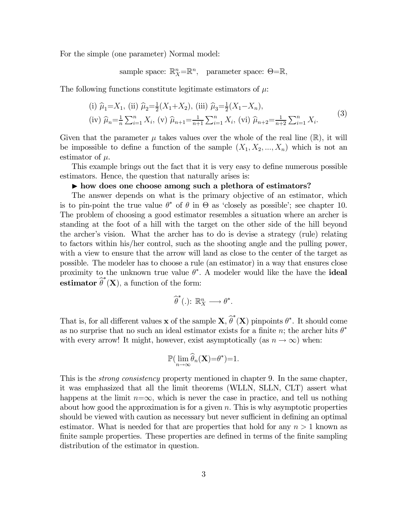For the simple (one parameter) Normal model:

sample space:  $\mathbb{R}^n$  =  $\mathbb{R}^n$ , parameter space:  $\Theta = \mathbb{R}$ ,

The following functions constitute legitimate estimators of  $\mu$ .

(i) 
$$
\hat{\mu}_1 = X_1
$$
, (ii)  $\hat{\mu}_2 = \frac{1}{2}(X_1 + X_2)$ , (iii)  $\hat{\mu}_3 = \frac{1}{2}(X_1 - X_n)$ ,  
(iv)  $\hat{\mu}_n = \frac{1}{n} \sum_{i=1}^n X_i$ , (v)  $\hat{\mu}_{n+1} = \frac{1}{n+1} \sum_{i=1}^n X_i$ , (vi)  $\hat{\mu}_{n+2} = \frac{1}{n+2} \sum_{i=1}^n X_i$ . (3)

Given that the parameter  $\mu$  takes values over the whole of the real line ( $\mathbb{R}$ ), it will be impossible to define a function of the sample  $(X_1, X_2, ..., X_n)$  which is not an estimator of  $\mu$ .

This example brings out the fact that it is very easy to define numerous possible estimators. Hence, the question that naturally arises is:

### If how does one choose among such a plethora of estimators?

The answer depends on what is the primary objective of an estimator, which is to pin-point the true value  $\theta^*$  of  $\theta$  in  $\Theta$  as 'closely as possible'; see chapter 10. The problem of choosing a good estimator resembles a situation where an archer is standing at the foot of a hill with the target on the other side of the hill beyond the archer's vision. What the archer has to do is devise a strategy (rule) relating to factors within his/her control, such as the shooting angle and the pulling power, with a view to ensure that the arrow will land as close to the center of the target as possible. The modeler has to choose a rule (an estimator) in a way that ensures close proximity to the unknown true value  $\theta^*$ . A modeler would like the have the **ideal estimator**  $\widehat{\theta}^*(\mathbf{X})$ , a function of the form:

$$
\widehat{\theta}^*(.)\colon \mathbb{R}^n_X\longrightarrow \theta^*.
$$

That is, for all different values **x** of the sample  $\mathbf{X}, \hat{\theta}^*(\mathbf{X})$  pinpoints  $\theta^*$ . It should come as no surprise that no such an ideal estimator exists for a finite n; the archer hits  $\theta^*$ with every arrow! It might, however, exist asymptotically (as  $n \to \infty$ ) when:

$$
\mathbb{P}(\lim_{n\to\infty}\widehat{\theta}_n(\mathbf{X})=\theta^*)=1.
$$

This is the *strong consistency* property mentioned in chapter 9. In the same chapter, it was emphasized that all the limit theorems (WLLN, SLLN, CLT) assert what happens at the limit  $n=\infty$ , which is never the case in practice, and tell us nothing about how good the approximation is for a given  $n$ . This is why asymptotic properties should be viewed with caution as necessary but never sufficient in defining an optimal estimator. What is needed for that are properties that hold for any  $n > 1$  known as finite sample properties. These properties are defined in terms of the finite sampling distribution of the estimator in question.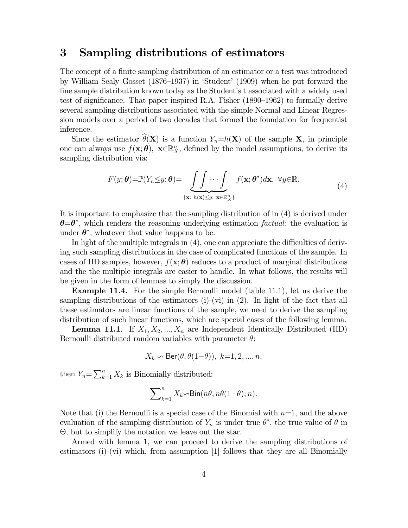# 3 Sampling distributions of estimators

The concept of a finite sampling distribution of an estimator or a test was introduced by William Sealy Gosset (1876—1937) in 'Student' (1909) when he put forward the fine sample distribution known today as the Student's t associated with a widely used test of significance. That paper inspired R.A. Fisher (1890—1962) to formally derive several sampling distributions associated with the simple Normal and Linear Regression models over a period of two decades that formed the foundation for frequentist inference.

Since the estimator  $\widehat{\theta}(\mathbf{X})$  is a function  $Y_n=h(\mathbf{X})$  of the sample **X**, in principle one can always use  $f(\mathbf{x}; \theta)$ ,  $\mathbf{x} \in \mathbb{R}_{X}^{n}$ , defined by the model assumptions, to derive its sampling distribution via:

$$
F(y; \theta) = \mathbb{P}(Y_n \leq y; \theta) = \underbrace{\int \int \cdots \int}_{\{\mathbf{x}: h(\mathbf{x}) \leq y; \ \mathbf{x} \in \mathbb{R}_X^n\}} f(\mathbf{x}; \theta^*) d\mathbf{x}, \ \forall y \in \mathbb{R}.
$$
\n(4)

It is important to emphasize that the sampling distribution of in (4) is derived under  $\theta = \theta^*$ , which renders the reasoning underlying estimation factual; the evaluation is under  $\theta^*$ , whatever that value happens to be.

In light of the multiple integrals in (4), one can appreciate the difficulties of deriving such sampling distributions in the case of complicated functions of the sample. In cases of IID samples, however,  $f(\mathbf{x}; \theta)$  reduces to a product of marginal distributions and the the multiple integrals are easier to handle. In what follows, the results will be given in the form of lemmas to simply the discussion.

Example 11.4. For the simple Bernoulli model (table 11.1), let us derive the sampling distributions of the estimators  $(i)-(vi)$  in  $(2)$ . In light of the fact that all these estimators are linear functions of the sample, we need to derive the sampling distribution of such linear functions, which are special cases of the following lemma.

**Lemma 11.1**. If  $X_1, X_2, ..., X_n$  are Independent Identically Distributed (IID) Bernoulli distributed random variables with parameter  $\theta$ :

$$
X_k \backsim \text{Ber}(\theta, \theta(1-\theta)), k=1, 2, ..., n,
$$

then  $Y_n = \sum_{k=1}^n X_k$  is Binomially distributed:

$$
\sum\nolimits_{k=1}^n X_k \! \! \sim \! \mathsf{Bin}(n\theta, n\theta(1\! - \!\theta); n).
$$

Note that (i) the Bernoulli is a special case of the Binomial with  $n=1$ , and the above evaluation of the sampling distribution of  $Y_n$  is under true  $\theta^*$ , the true value of  $\theta$  in  $\Theta$ , but to simplify the notation we leave out the star.

Armed with lemma 1, we can proceed to derive the sampling distributions of estimators (i)-(vi) which, from assumption [1] follows that they are all Binomially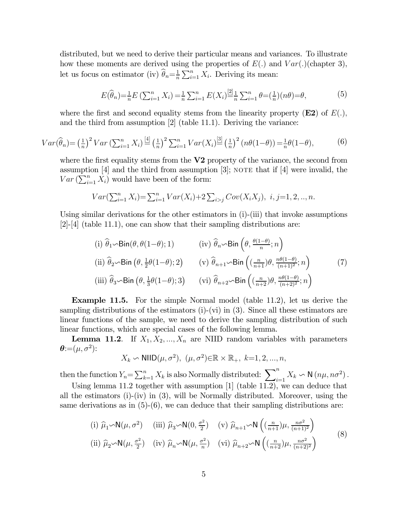distributed, but we need to derive their particular means and variances. To illustrate how these moments are derived using the properties of  $E(.)$  and  $Var(.)$  (chapter 3), let us focus on estimator (iv)  $\widehat{\theta}_n = \frac{1}{n} \sum_{i=1}^n X_i$ . Deriving its mean:

$$
E(\widehat{\theta}_n) = \frac{1}{n} E\left(\sum_{i=1}^n X_i\right) = \frac{1}{n} \sum_{i=1}^n E(X_i) \stackrel{[2]}{=} \frac{1}{n} \sum_{i=1}^n \theta = \left(\frac{1}{n}\right)(n\theta) = \theta,\tag{5}
$$

where the first and second equality stems from the linearity property  $(E2)$  of  $E(.)$ , and the third from assumption [2] (table 11.1). Deriving the variance:

$$
Var(\widehat{\theta}_n) = \left(\frac{1}{n}\right)^2 Var\left(\sum_{i=1}^n X_i\right) \stackrel{[4]}{=} \left(\frac{1}{n}\right)^2 \sum_{i=1}^n Var(X_i) \stackrel{[3]}{=} \left(\frac{1}{n}\right)^2 \left(n\theta(1-\theta)\right) = \frac{1}{n}\theta(1-\theta),\tag{6}
$$

where the first equality stems from the  $V2$  property of the variance, the second from assumption  $[4]$  and the third from assumption  $[3]$ ; note that if  $[4]$  were invalid, the  $Var\left(\sum_{i=1}^{n} X_i\right)$  would have been of the form:

$$
Var(\sum_{i=1}^{n} X_i) = \sum_{i=1}^{n} Var(X_i) + 2 \sum_{i > j} Cov(X_i X_j), \ i, j = 1, 2, ..., n.
$$

Using similar derivations for the other estimators in (i)-(iii) that invoke assumptions  $[2]$ -[4] (table 11.1), one can show that their sampling distributions are:

(i) 
$$
\hat{\theta}_1 \sim \text{Bin}(\theta, \theta(1-\theta); 1)
$$
 (iv)  $\hat{\theta}_n \sim \text{Bin}(\theta, \frac{\theta(1-\theta)}{n}; n)$   
\n(ii)  $\hat{\theta}_2 \sim \text{Bin}(\theta, \frac{1}{2}\theta(1-\theta); 2)$  (v)  $\hat{\theta}_{n+1} \sim \text{Bin}((\frac{n}{n+1})\theta, \frac{n\theta(1-\theta)}{(n+1)^2}; n)$  (7)  
\n(iii)  $\hat{\theta}_3 \sim \text{Bin}(\theta, \frac{1}{3}\theta(1-\theta); 3)$  (vi)  $\hat{\theta}_{n+2} \sim \text{Bin}((\frac{n}{n+2})\theta, \frac{n\theta(1-\theta)}{(n+2)^2}; n)$ 

Example 11.5. For the simple Normal model (table 11.2), let us derive the sampling distributions of the estimators (i)-(vi) in (3). Since all these estimators are linear functions of the sample, we need to derive the sampling distribution of such linear functions, which are special cases of the following lemma.

**Lemma 11.2**. If  $X_1, X_2, ..., X_n$  are NIID random variables with parameters  $\boldsymbol{\theta}$ := $(\mu, \sigma^2)$ :

$$
X_k \backsim \text{NIID}(\mu, \sigma^2), \ (\mu, \sigma^2) \in \mathbb{R} \times \mathbb{R}_+, \ k=1, 2, ..., n,
$$

then the function  $Y_n = \sum_{k=1}^n X_k$  is also Normally distributed:  $\sum_{i=1}^n X_k \backsim N(n\mu, n\sigma^2)$ .

Using lemma 11.2 together with assumption [1] (table 11.2), we can deduce that all the estimators  $(i)-(iv)$  in  $(3)$ , will be Normally distributed. Moreover, using the same derivations as in  $(5)-(6)$ , we can deduce that their sampling distributions are:

(i) 
$$
\hat{\mu}_1 \sim N(\mu, \sigma^2)
$$
 (iii)  $\hat{\mu}_3 \sim N(0, \frac{\sigma^2}{2})$  (v)  $\hat{\mu}_{n+1} \sim N\left((\frac{n}{n+1})\mu, \frac{n\sigma^2}{(n+1)^2}\right)$   
\n(ii)  $\hat{\mu}_2 \sim N(\mu, \frac{\sigma^2}{2})$  (iv)  $\hat{\mu}_n \sim N(\mu, \frac{\sigma^2}{n})$  (vi)  $\hat{\mu}_{n+2} \sim N\left((\frac{n}{n+2})\mu, \frac{n\sigma^2}{(n+2)^2}\right)$  (8)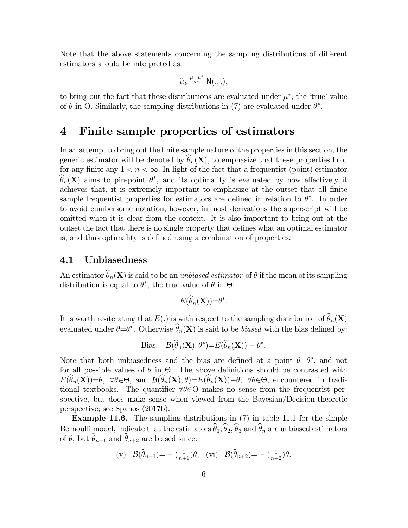Note that the above statements concerning the sampling distributions of different estimators should be interpreted as:

$$
\widehat{\mu}_k \stackrel{\mu=\mu^*}{\sim} \mathsf{N}(.,.),
$$

to bring out the fact that these distributions are evaluated under  $\mu^*$ , the 'true' value of  $\theta$  in  $\Theta$ . Similarly, the sampling distributions in (7) are evaluated under  $\theta^*$ .

# 4 Finite sample properties of estimators

In an attempt to bring out the finite sample nature of the properties in this section, the generic estimator will be denoted by  $\hat{\theta}_n(\mathbf{X})$ , to emphasize that these properties hold for any finite any  $1 < n < \infty$ . In light of the fact that a frequentist (point) estimator  $\theta_n(\mathbf{X})$  aims to pin-point  $\theta^*$ , and its optimality is evaluated by how effectively it achieves that, it is extremely important to emphasize at the outset that all finite sample frequentist properties for estimators are defined in relation to  $\theta^*$ . In order to avoid cumbersome notation, however, in most derivations the superscript will be omitted when it is clear from the context. It is also important to bring out at the outset the fact that there is no single property that defines what an optimal estimator is, and thus optimality is defined using a combination of properties.

### 4.1 Unbiasedness

An estimator  $\widehat{\theta}_n(\mathbf{X})$  is said to be an unbiased estimator of  $\theta$  if the mean of its sampling distribution is equal to  $\theta^*$ , the true value of  $\theta$  in  $\Theta$ :

$$
E(\widehat{\theta}_n(\mathbf{X})) = \theta^*.
$$

It is worth re-iterating that  $E(.)$  is with respect to the sampling distribution of  $\widehat{\theta}_n(\mathbf{X})$ evaluated under  $\theta = \theta^*$ . Otherwise  $\theta_n(\mathbf{X})$  is said to be *biased* with the bias defined by:

Bias: 
$$
\mathcal{B}(\theta_n(\mathbf{X}); \theta^*) = E(\theta_n(\mathbf{X})) - \theta^*.
$$

Note that both unbiasedness and the bias are defined at a point  $\theta = \theta^*$ , and not for all possible values of  $\theta$  in  $\Theta$ . The above definitions should be contrasted with  $E(\widehat{\theta}_n(\mathbf{X}))=\theta$ ,  $\forall \theta \in \Theta$ , and  $\mathcal{B}(\widehat{\theta}_n(\mathbf{X}); \theta)=E(\widehat{\theta}_n(\mathbf{X}))-\theta$ ,  $\forall \theta \in \Theta$ , encountered in traditional textbooks. The quantifier  $\forall \theta \in \Theta$  makes no sense from the frequentist perspective, but does make sense when viewed from the Bayesian/Decision-theoretic perspective; see Spanos (2017b).

Example 11.6. The sampling distributions in (7) in table 11.1 for the simple Bernoulli model, indicate that the estimators  $\widehat{\theta}_1, \widehat{\theta}_2, \widehat{\theta}_3$  and  $\widehat{\theta}_n$  are unbiased estimators of  $\theta$ , but  $\widehat{\theta}_{n+1}$  and  $\widehat{\theta}_{n+2}$  are biased since:

$$
(\mathbf{v}) \quad \mathcal{B}(\widehat{\theta}_{n+1}) = -\left(\frac{1}{n+1}\right)\theta, \quad (\mathbf{vi}) \quad \mathcal{B}(\widehat{\theta}_{n+2}) = -\left(\frac{1}{n+2}\right)\theta.
$$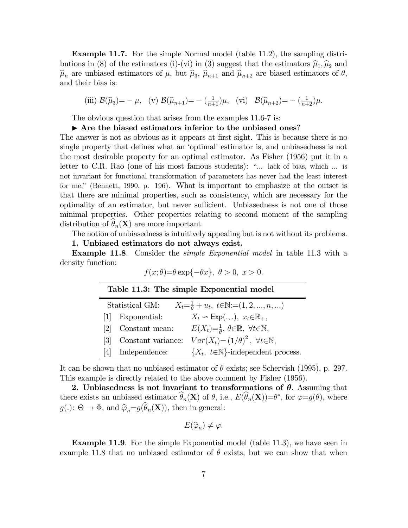Example 11.7. For the simple Normal model (table 11.2), the sampling distributions in (8) of the estimators (i)-(vi) in (3) suggest that the estimators  $\hat{\mu}_1, \hat{\mu}_2$  and  $\hat{\mu}_n$  are unbiased estimators of  $\mu$ , but  $\hat{\mu}_3$ ,  $\hat{\mu}_{n+1}$  and  $\hat{\mu}_{n+2}$  are biased estimators of  $\theta$ , and their bias is:

(iii) 
$$
\mathcal{B}(\hat{\mu}_3) = -\mu
$$
, (v)  $\mathcal{B}(\hat{\mu}_{n+1}) = -\left(\frac{1}{n+1}\right)\mu$ , (vi)  $\mathcal{B}(\hat{\mu}_{n+2}) = -\left(\frac{1}{n+2}\right)\mu$ .

The obvious question that arises from the examples 11.6-7 is:

### $\blacktriangleright$  Are the biased estimators inferior to the unbiased ones?

The answer is not as obvious as it appears at first sight. This is because there is no single property that defines what an 'optimal' estimator is, and unbiasedness is not the most desirable property for an optimal estimator. As Fisher (1956) put it in a letter to C.R. Rao (one of his most famous students): "... lack of bias, which ... is not invariant for functional transformation of parameters has never had the least interest for me." (Bennett, 1990, p. 196). What is important to emphasize at the outset is that there are minimal properties, such as consistency, which are necessary for the optimality of an estimator, but never sufficient. Unbiasedness is not one of those minimal properties. Other properties relating to second moment of the sampling distribution of  $\theta_n(\mathbf{X})$  are more important.

The notion of unbiasedness is intuitively appealing but is not without its problems.

#### 1. Unbiased estimators do not always exist.

Example 11.8. Consider the *simple Exponential model* in table 11.3 with a density function:

| $f(x; \theta) = \theta \exp\{-\theta x\}, \ \theta > 0, \ x > 0.$ |  |
|-------------------------------------------------------------------|--|
|-------------------------------------------------------------------|--|

| Table 11.3: The simple Exponential model                                             |                    |                                                                                   |  |  |
|--------------------------------------------------------------------------------------|--------------------|-----------------------------------------------------------------------------------|--|--|
| $X_t = \frac{1}{\theta} + u_t, t \in \mathbb{N} := (1, 2, , n, )$<br>Statistical GM: |                    |                                                                                   |  |  |
| 1                                                                                    | Exponential:       | $X_t \backsim \text{Exp}(.,.), x_t \in \mathbb{R}_+,$                             |  |  |
| <u>[2]</u>                                                                           | Constant mean:     | $E(X_t)=\frac{1}{\theta}, \ \theta \in \mathbb{R}, \ \ \forall t \in \mathbb{N},$ |  |  |
| 131                                                                                  | Constant variance: | $Var(X_t) = (1/\theta)^2$ , $\forall t \in \mathbb{N}$ ,                          |  |  |
| 4                                                                                    | Independence:      | $\{X_t, t \in \mathbb{N}\}\$ -independent process.                                |  |  |
|                                                                                      |                    |                                                                                   |  |  |

It can be shown that no unbiased estimator of  $\theta$  exists; see Schervish (1995), p. 297. This example is directly related to the above comment by Fisher (1956).

2. Unbiasedness is not invariant to transformations of  $\theta$ . Assuming that there exists an unbiased estimator  $\theta_n(\mathbf{X})$  of  $\theta$ , i.e.,  $E(\theta_n(\mathbf{X}))=\theta^*$ , for  $\varphi=g(\theta)$ , where  $g(.)\colon \Theta \to \Phi$ , and  $\widehat{\varphi}_n=g(\widehat{\theta}_n(\mathbf{X}))$ , then in general:

$$
E(\widehat{\varphi}_n) \neq \varphi.
$$

Example 11.9. For the simple Exponential model (table 11.3), we have seen in example 11.8 that no unbiased estimator of  $\theta$  exists, but we can show that when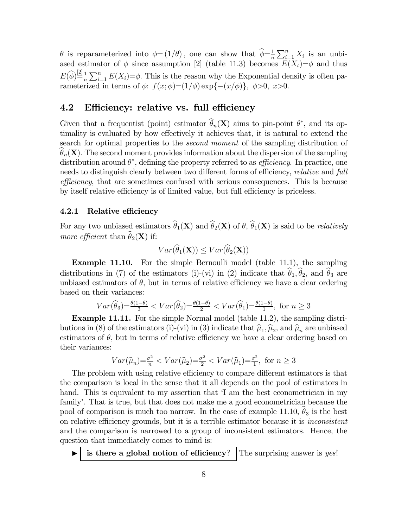$\theta$  is reparameterized into  $\phi = (1/\theta)$ , one can show that  $\widehat{\phi} = \frac{1}{n} \sum_{i=1}^{n} X_i$  is an unbiased estimator of  $\phi$  since assumption [2] (table 11.3) becomes  $E(X_t)=\phi$  and thus  $E(\widehat{\phi}) = \frac{2!}{n} \sum_{i=1}^{n} E(X_i) = \phi$ . This is the reason why the Exponential density is often parameterized in terms of  $\phi$ :  $f(x; \phi) = (1/\phi) \exp{-\left(x/\phi\right)}, \ \phi > 0, \ x > 0.$ 

### 4.2 Efficiency: relative vs. full efficiency

Given that a frequentist (point) estimator  $\theta_n(\mathbf{X})$  aims to pin-point  $\theta^*$ , and its optimality is evaluated by how effectively it achieves that, it is natural to extend the search for optimal properties to the *second moment* of the sampling distribution of  $\theta_n(\mathbf{X})$ . The second moment provides information about the dispersion of the sampling distribution around  $\theta^*$ , defining the property referred to as *efficiency*. In practice, one needs to distinguish clearly between two different forms of efficiency, *relative* and full efficiency, that are sometimes confused with serious consequences. This is because by itself relative efficiency is of limited value, but full efficiency is priceless.

#### 4.2.1 Relative efficiency

For any two unbiased estimators  $\hat{\theta}_1(\mathbf{X})$  and  $\hat{\theta}_2(\mathbf{X})$  of  $\theta$ ,  $\hat{\theta}_1(\mathbf{X})$  is said to be *relatively* more efficient than  $\widehat{\theta}_2(\mathbf{X})$  if:

$$
Var(\widehat{\theta}_1(\mathbf{X})) \leq Var(\widehat{\theta}_2(\mathbf{X}))
$$

Example 11.10. For the simple Bernoulli model (table 11.1), the sampling distributions in (7) of the estimators (i)-(vi) in (2) indicate that  $\hat{\theta}_1, \hat{\theta}_2$ , and  $\hat{\theta}_3$  are unbiased estimators of  $\theta$ , but in terms of relative efficiency we have a clear ordering based on their variances:

$$
Var(\widehat{\theta}_3) = \frac{\theta(1-\theta)}{3} < Var(\widehat{\theta}_2) = \frac{\theta(1-\theta)}{2} < Var(\widehat{\theta}_1) = \frac{\theta(1-\theta)}{1}, \text{ for } n \ge 3
$$

Example 11.11. For the simple Normal model (table 11.2), the sampling distributions in (8) of the estimators (i)-(vi) in (3) indicate that  $\hat{\mu}_1, \hat{\mu}_2$ , and  $\hat{\mu}_n$  are unbiased estimators of  $\theta$ , but in terms of relative efficiency we have a clear ordering based on their variances:

$$
Var(\widehat{\mu}_n) = \frac{\sigma^2}{n} < Var(\widehat{\mu}_2) = \frac{\sigma^2}{2} < Var(\widehat{\mu}_1) = \frac{\sigma^2}{1}, \text{ for } n \ge 3
$$

The problem with using relative efficiency to compare different estimators is that the comparison is local in the sense that it all depends on the pool of estimators in hand. This is equivalent to my assertion that 'I am the best econometrician in my family'. That is true, but that does not make me a good econometrician because the pool of comparison is much too narrow. In the case of example 11.10,  $\hat{\theta}_3$  is the best on relative efficiency grounds, but it is a terrible estimator because it is inconsistent and the comparison is narrowed to a group of inconsistent estimators. Hence, the question that immediately comes to mind is:

 $\blacktriangleright$  is there a global notion of efficiency? The surprising answer is yes!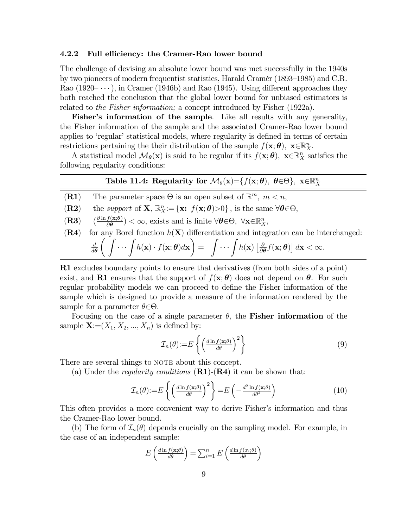#### 4.2.2 Full efficiency: the Cramer-Rao lower bound

The challenge of devising an absolute lower bound was met successfully in the 1940s by two pioneers of modern frequentist statistics, Harald Cramér (1893—1985) and C.R. Rao  $(1920-\cdots)$ , in Cramer (1946b) and Rao (1945). Using different approaches they both reached the conclusion that the global lower bound for unbiased estimators is related to the Fisher information; a concept introduced by Fisher (1922a).

Fisher's information of the sample. Like all results with any generality, the Fisher information of the sample and the associated Cramer-Rao lower bound applies to 'regular' statistical models, where regularity is defined in terms of certain restrictions pertaining the their distribution of the sample  $f(\mathbf{x}; \boldsymbol{\theta})$ ,  $\mathbf{x} \in \mathbb{R}_X^n$ .

A statistical model  $M_{\theta}(\mathbf{x})$  is said to be regular if its  $f(\mathbf{x}; \theta)$ ,  $\mathbf{x} \in \mathbb{R}_{X}^{n}$  satisfies the following regularity conditions:

# Table 11.4: Regularity for  $\mathcal{M}_{\theta}(\mathbf{x}) = \{f(\mathbf{x}; \theta), \theta \in \Theta\}, \mathbf{x} \in \mathbb{R}_{X}^{n}$

**(R1)** The parameter space  $\Theta$  is an open subset of  $\mathbb{R}^m$ ,  $m < n$ ,

(**R2**) the support of **X**,  $\mathbb{R}^n_X := {\mathbf{x}: f(\mathbf{x}; \boldsymbol{\theta}) > 0}$ , is the same  $\forall \boldsymbol{\theta} \in \Theta$ ,

- (**R3**)  $\left(\frac{\partial \ln f(\mathbf{x}; \theta)}{\partial \theta}\right) < \infty$ , exists and is finite  $\forall \theta \in \Theta$ ,  $\forall \mathbf{x} \in \mathbb{R}_{X}^{n}$ ,
- (R4) for any Borel function  $h(X)$  differentiation and integration can be interchanged:  $\overline{d}$  $d\boldsymbol{\theta}$  $\int \ldots \int h(\mathbf{x}) \cdot f(\mathbf{x}; \boldsymbol{\theta}) d\mathbf{x}$  $\setminus$ =  $\int \cdots \int h(\mathbf{x}) \left[ \frac{\partial}{\partial \theta} f(\mathbf{x}; \theta) \right] d\mathbf{x} < \infty.$

R1 excludes boundary points to ensure that derivatives (from both sides of a point) exist, and R1 ensures that the support of  $f(\mathbf{x}; \theta)$  does not depend on  $\theta$ . For such regular probability models we can proceed to define the Fisher information of the sample which is designed to provide a measure of the information rendered by the sample for a parameter  $\theta \in \Theta$ .

Focusing on the case of a single parameter  $\theta$ , the Fisher information of the sample  $\mathbf{X}=(X_1, X_2, ..., X_n)$  is defined by:

$$
\mathcal{I}_n(\theta) := E\left\{ \left( \frac{d \ln f(\mathbf{x}; \theta)}{d \theta} \right)^2 \right\} \tag{9}
$$

There are several things to NOTE about this concept.

(a) Under the *regularity conditions*  $(R1)-(R4)$  it can be shown that:

$$
\mathcal{I}_n(\theta) := E\left\{ \left(\frac{d \ln f(\mathbf{x};\theta)}{d \theta}\right)^2 \right\} = E\left(-\frac{d^2 \ln f(\mathbf{x};\theta)}{d \theta^2}\right) \tag{10}
$$

This often provides a more convenient way to derive Fisher's information and thus the Cramer-Rao lower bound.

(b) The form of  $\mathcal{I}_n(\theta)$  depends crucially on the sampling model. For example, in the case of an independent sample:

$$
E\left(\frac{d\ln f(\mathbf{x};\theta)}{d\theta}\right) = \sum_{i=1}^{n} E\left(\frac{d\ln f(x_i;\theta)}{d\theta}\right)
$$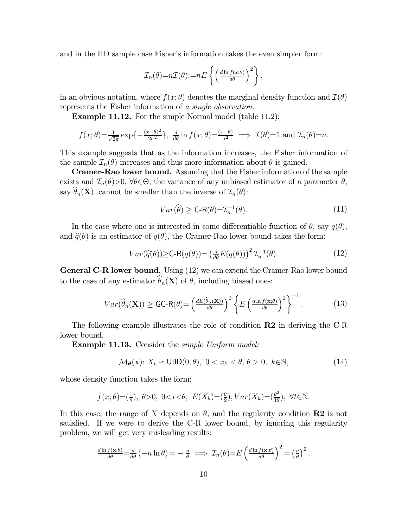and in the IID sample case Fisher's information takes the even simpler form:

$$
\mathcal{I}_n(\theta) = n\mathcal{I}(\theta) := nE\left\{ \left( \frac{d \ln f(x;\theta)}{d\theta} \right)^2 \right\},\,
$$

in an obvious notation, where  $f(x; \theta)$  denotes the marginal density function and  $\mathcal{I}(\theta)$ represents the Fisher information of a single observation.

Example 11.12. For the simple Normal model (table 11.2):

$$
f(x; \theta) = \frac{1}{\sqrt{2\pi}} \exp\left\{-\frac{(x-\theta)^2}{2\sigma^2}\right\}, \frac{d}{d\theta} \ln f(x; \theta) = \frac{(x-\theta)}{\sigma^2} \implies \mathcal{I}(\theta) = 1 \text{ and } \mathcal{I}_n(\theta) = n.
$$

This example suggests that as the information increases, the Fisher information of the sample  $\mathcal{I}_n(\theta)$  increases and thus more information about  $\theta$  is gained.

Cramer-Rao lower bound. Assuming that the Fisher information of the sample exists and  $\mathcal{I}_n(\theta) > 0$ ,  $\forall \theta \in \Theta$ , the variance of any unbiased estimator of a parameter  $\theta$ , say  $\widehat{\theta}_n(\mathbf{X})$ , cannot be smaller than the inverse of  $\mathcal{I}_n(\theta)$ :

$$
Var(\widehat{\theta}) \ge \mathsf{C}\text{-}\mathsf{R}(\theta) = \mathcal{I}_n^{-1}(\theta). \tag{11}
$$

In the case where one is interested in some differentiable function of  $\theta$ , say  $q(\theta)$ , and  $\hat{q}(\theta)$  is an estimator of  $q(\theta)$ , the Cramer-Rao lower bound takes the form:

$$
Var(\widehat{q}(\theta)) \ge C-R(q(\theta)) = \left(\frac{d}{d\theta}E(q(\theta))\right)^2 \mathcal{I}_n^{-1}(\theta).
$$
 (12)

General C-R lower bound. Using (12) we can extend the Cramer-Rao lower bound to the case of any estimator  $\widehat{\theta}_n(\mathbf{X})$  of  $\theta$ , including biased ones:

$$
Var(\widehat{\theta}_n(\mathbf{X})) \ge \mathsf{GC-R}(\theta) = \left(\frac{dE(\widehat{\theta}_n(\mathbf{X}))}{d\theta}\right)^2 \left\{ E\left(\frac{d\ln f(\mathbf{x};\theta)}{d\theta}\right)^2 \right\}^{-1}.
$$
 (13)

The following example illustrates the role of condition  **in deriving the C-R** lower bound.

**Example 11.13.** Consider the *simple Uniform model:* 

$$
\mathcal{M}_{\theta}(\mathbf{x}) : X_t \backsim \text{UIID}(0, \theta), \ 0 < x_k < \theta, \ \theta > 0, \ k \in \mathbb{N}, \tag{14}
$$

whose density function takes the form:

$$
f(x; \theta) = (\frac{1}{\theta}), \ \theta > 0, \ 0 < x < \theta; \ E(X_k) = (\frac{\theta}{2}), Var(X_k) = (\frac{\theta^2}{12}), \ \forall t \in \mathbb{N}.
$$

In this case, the range of X depends on  $\theta$ , and the regularity condition **R2** is not satisfied. If we were to derive the C-R lower bound, by ignoring this regularity problem, we will get very misleading results:

$$
\frac{d\ln f(\mathbf{x};\theta)}{d\theta} = \frac{d}{d\theta} \left( -n \ln \theta \right) = -\frac{n}{\theta} \implies \mathcal{I}_n(\theta) = E \left( \frac{d\ln f(\mathbf{x};\theta)}{d\theta} \right)^2 = \left( \frac{n}{\theta} \right)^2.
$$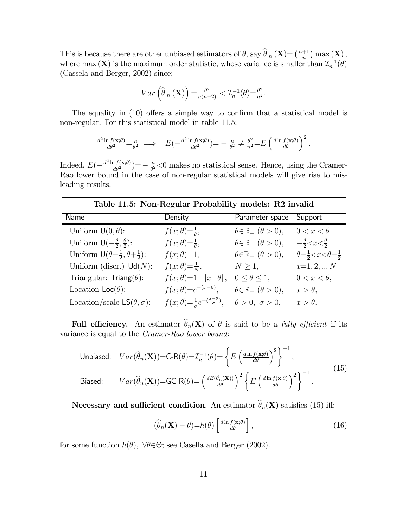This is because there are other unbiased estimators of  $\theta$ , say  $\widehat{\theta}_{[n]}(\mathbf{X}) = \left(\frac{n+1}{n}\right) \max\left(\mathbf{X}\right)$ , where max (X) is the maximum order statistic, whose variance is smaller than  $\mathcal{I}_n^{-1}(\theta)$ (Cassela and Berger, 2002) since:

$$
Var\left(\widehat{\theta}_{[n]}(\mathbf{X})\right) = \frac{\theta^2}{n(n+2)} < \mathcal{I}_n^{-1}(\theta) = \frac{\theta^2}{n^2}.
$$

The equality in (10) offers a simple way to confirm that a statistical model is non-regular. For this statistical model in table 11.5:

$$
\frac{d^2 \ln f(\mathbf{x};\theta)}{d\theta^2} = \frac{n}{\theta^2} \implies E\left(-\frac{d^2 \ln f(\mathbf{x};\theta)}{d\theta^2}\right) = -\frac{n}{\theta^2} \neq \frac{\theta^2}{n^2} = E\left(\frac{d \ln f(\mathbf{x};\theta)}{d\theta}\right)^2.
$$

Indeed,  $E(-\frac{d^2 \ln f(\mathbf{x};\theta)}{d\theta^2}) = -\frac{n}{\theta^2} < 0$  makes no statistical sense. Hence, using the Cramer-Rao lower bound in the case of non-regular statistical models will give rise to misleading results.

Name Density Parameter space Support Uniform  $\mathsf{U}(0, \theta)$ :  $f(x; \theta) = \frac{1}{\theta}, \qquad \theta \in \mathbb{R}_+$   $(\theta > 0), \qquad 0 < x < \theta$ Uniform  $\mathsf{U}\left(-\frac{\theta}{2}, \frac{\theta}{2}\right)$ :  $f(x; \theta) = \frac{1}{\theta}, \qquad \theta \in \mathbb{R}_+ \ (\theta > 0), \qquad -\frac{\theta}{2} < x < \frac{\theta}{2}$ Uniform  $\mathsf{U}(\theta - \frac{1}{2}, \theta + \frac{1}{2})$ :  $f(x; \theta) = 1$ ,  $\theta \in \mathbb{R}_+$   $(\theta > 0)$ ,  $\theta - \frac{1}{2} < x < \theta + \frac{1}{2}$ Uniform (discr.)  $\text{Ud}(N)$ :  $f(x; \theta) = \frac{1}{N}$ ,  $N \ge 1$ ,  $x=1, 2, ..., N$ Triangular: Triang $(\theta)$ :  $f(x; \theta) = 1 - |x - \theta|$ ,  $0 \le \theta \le 1$ ,  $0 < x < \theta$ , Location Loc( $\theta$ ):  $f(x; \theta) = e^{-(x-\theta)}, \quad \theta \in \mathbb{R}_+$  ( $\theta > 0$ ),  $x > \theta$ , Location/scale  $LS(\theta, \sigma)$ :  $\frac{1}{\sigma}e^{-(\frac{x-\theta}{\sigma})}, \quad \theta > 0, \ \sigma > 0, \quad x > \theta.$ 

Table 11.5: Non-Regular Probability models: R2 invalid

Full efficiency. An estimator  $\widehat{\theta}_n(X)$  of  $\theta$  is said to be a *fully efficient* if its variance is equal to the Cramer-Rao lower bound:

Unbiased: 
$$
Var(\widehat{\theta}_n(\mathbf{X}))=C-R(\theta)=\mathcal{I}_n^{-1}(\theta)=\left\{E\left(\frac{d\ln f(\mathbf{x};\theta)}{d\theta}\right)^2\right\}^{-1},
$$
  
\nBiased:  $Var(\widehat{\theta}_n(\mathbf{X}))=GC-R(\theta)=\left(\frac{dE(\widehat{\theta}_n(\mathbf{X}))}{d\theta}\right)^2\left\{E\left(\frac{d\ln f(\mathbf{x};\theta)}{d\theta}\right)^2\right\}^{-1}.$  (15)

Necessary and sufficient condition. An estimator  $\widehat{\theta}_n(\mathbf{X})$  satisfies (15) iff:

$$
\left(\widehat{\theta}_n(\mathbf{X}) - \theta\right) = h(\theta) \left[\frac{d \ln f(\mathbf{x}; \theta)}{d \theta}\right],\tag{16}
$$

for some function  $h(\theta)$ ,  $\forall \theta \in \Theta$ ; see Casella and Berger (2002).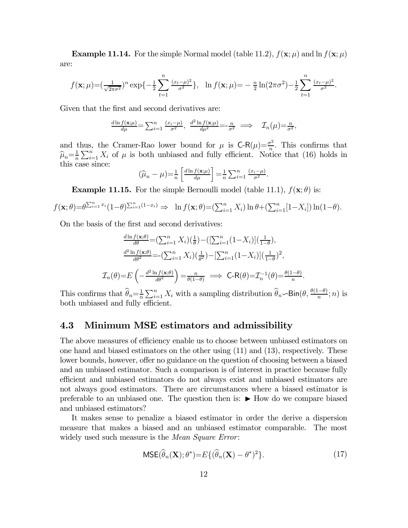**Example 11.14.** For the simple Normal model (table 11.2),  $f(\mathbf{x}; \mu)$  and  $\ln f(\mathbf{x}; \mu)$ are:

$$
f(\mathbf{x};\mu) = \left(\frac{1}{\sqrt{2\pi\sigma^2}}\right)^n \exp\left\{-\frac{1}{2}\sum_{t=1}^n \frac{(x_t-\mu)^2}{\sigma^2}\right\}, \quad \ln f(\mathbf{x};\mu) = -\frac{n}{2}\ln(2\pi\sigma^2) - \frac{1}{2}\sum_{t=1}^n \frac{(x_t-\mu)^2}{\sigma^2}.
$$

Given that the first and second derivatives are:

$$
\frac{d\ln f(\mathbf{x};\mu)}{d\mu} = \sum_{i=1}^n \frac{(x_i - \mu)}{\sigma^2}, \frac{d^2 \ln f(\mathbf{x};\mu)}{d\mu^2} = \frac{n}{\sigma^2} \implies \mathcal{I}_n(\mu) = \frac{n}{\sigma^2},
$$

and thus, the Cramer-Rao lower bound for  $\mu$  is  $\mathsf{C}\text{-}\mathsf{R}(\mu)=\frac{\sigma^2}{n}$ . This confirms that  $\hat{\mu}_n = \frac{1}{n} \sum_{i=1}^n X_i$  of  $\mu$  is both unbiased and fully efficient. Notice that (16) holds in this case since:

$$
(\widehat{\mu}_n - \mu) = \frac{1}{n} \left[ \frac{d \ln f(\mathbf{x}; \mu)}{d \mu} \right] = \frac{1}{n} \sum_{i=1}^n \frac{(x_i - \mu)}{\sigma^2}.
$$

**Example 11.15.** For the simple Bernoulli model (table 11.1),  $f(\mathbf{x}; \theta)$  is:

$$
f(\mathbf{x};\theta) = \theta^{\sum_{i=1}^{n} x_i} (1-\theta)^{\sum_{i=1}^{n} (1-x_i)} \Rightarrow \ln f(\mathbf{x};\theta) = (\sum_{i=1}^{n} X_i) \ln \theta + (\sum_{i=1}^{n} [1-X_i]) \ln (1-\theta).
$$

On the basis of the first and second derivatives:

$$
\frac{d \ln f(\mathbf{x};\theta)}{d \theta} = \left(\sum_{i=1}^{n} X_i\right) \left(\frac{1}{\theta}\right) - \left(\left[\sum_{i=1}^{n} (1 - X_i)\right] \left(\frac{1}{1 - \theta}\right),
$$
\n
$$
\frac{d^2 \ln f(\mathbf{x};\theta)}{d \theta^2} = -\left(\sum_{i=1}^{n} X_i\right) \left(\frac{1}{\theta^2}\right) - \left[\sum_{i=1}^{n} (1 - X_i)\right] \left(\frac{1}{1 - \theta}\right)^2,
$$
\n
$$
\mathcal{I}_n(\theta) = E\left(-\frac{d^2 \ln f(\mathbf{x};\theta)}{d \theta^2}\right) = \frac{n}{\theta(1 - \theta)} \implies \mathsf{C}\text{-}\mathsf{R}(\theta) = \mathcal{I}_n^{-1}(\theta) = \frac{\theta(1 - \theta)}{n}.
$$

This confirms that  $\widehat{\theta}_n = \frac{1}{n} \sum_{i=1}^n X_i$  with a sampling distribution  $\widehat{\theta}_n \sim Bin(\theta, \frac{\theta(1-\theta)}{n}; n)$  is both unbiased and fully efficient.

## 4.3 Minimum MSE estimators and admissibility

The above measures of efficiency enable us to choose between unbiased estimators on one hand and biased estimators on the other using (11) and (13), respectively. These lower bounds, however, offer no guidance on the question of choosing between a biased and an unbiased estimator. Such a comparison is of interest in practice because fully efficient and unbiased estimators do not always exist and unbiased estimators are not always good estimators. There are circumstances where a biased estimator is preferable to an unbiased one. The question then is:  $\blacktriangleright$  How do we compare biased and unbiased estimators?

It makes sense to penalize a biased estimator in order the derive a dispersion measure that makes a biased and an unbiased estimator comparable. The most widely used such measure is the *Mean Square Error*:

$$
\text{MSE}(\widehat{\theta}_n(\mathbf{X}); \theta^*) = E\{(\widehat{\theta}_n(\mathbf{X}) - \theta^*)^2\}.
$$
 (17)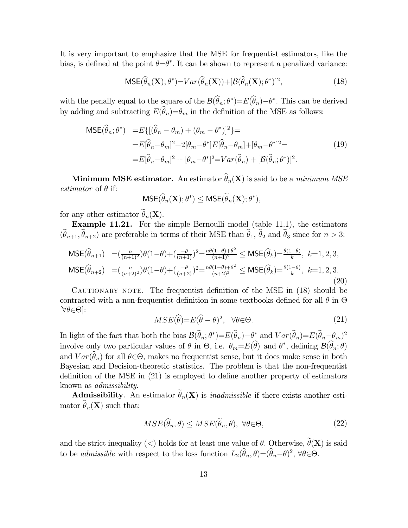It is very important to emphasize that the MSE for frequentist estimators, like the bias, is defined at the point  $\theta = \theta^*$ . It can be shown to represent a penalized variance:

$$
\text{MSE}(\widehat{\theta}_n(\mathbf{X}); \theta^*) = Var(\widehat{\theta}_n(\mathbf{X})) + [\mathcal{B}(\widehat{\theta}_n(\mathbf{X}); \theta^*)]^2,
$$
\n(18)

with the penally equal to the square of the  $\mathcal{B}(\theta_n; \theta^*) = E(\theta_n) - \theta^*$ . This can be derived by adding and subtracting  $E(\hat{\theta}_n) = \theta_m$  in the definition of the MSE as follows:

$$
\begin{split} \text{MSE}(\widehat{\theta}_{n};\theta^{*}) &= E\{[(\widehat{\theta}_{n}-\theta_{m})+(\theta_{m}-\theta^{*})]^{2}\} = \\ &= E[\widehat{\theta}_{n}-\theta_{m}]^{2} + 2[\theta_{m}-\theta^{*}]E[\widehat{\theta}_{n}-\theta_{m}] + [\theta_{m}-\theta^{*}]^{2} = \\ &= E[\widehat{\theta}_{n}-\theta_{m}]^{2} + [\theta_{m}-\theta^{*}]^{2} = Var(\widehat{\theta}_{n}) + [\mathcal{B}(\widehat{\theta}_{n};\theta^{*})]^{2} . \end{split} \tag{19}
$$

**Minimum MSE estimator.** An estimator  $\hat{\theta}_n(\mathbf{X})$  is said to be a minimum MSE *estimator* of  $\theta$  if:

$$
\mathsf{MSE}(\widehat{\theta}_n(\mathbf{X}); \theta^*) \leq \mathsf{MSE}(\widetilde{\theta}_n(\mathbf{X}); \theta^*),
$$

for any other estimator  $\widetilde{\theta}_n(\mathbf{X})$ .

Example 11.21. For the simple Bernoulli model (table 11.1), the estimators  $(\widehat{\theta}_{n+1}, \widehat{\theta}_{n+2})$  are preferable in terms of their MSE than  $\widehat{\theta}_1$ ,  $\widehat{\theta}_2$  and  $\widehat{\theta}_3$  since for  $n > 3$ :

$$
\begin{array}{ll}\n\text{MSE}(\widehat{\theta}_{n+1}) & = \left(\frac{n}{(n+1)^2}\right)\theta(1-\theta) + \left(\frac{-\theta}{(n+1)}\right)^2 = \frac{n\theta(1-\theta) + \theta^2}{(n+1)^2} \leq \text{MSE}(\widehat{\theta}_k) = \frac{\theta(1-\theta)}{k}, \ k=1,2,3, \\
\text{MSE}(\widehat{\theta}_{n+2}) & = \left(\frac{n}{(n+2)^2}\right)\theta(1-\theta) + \left(\frac{-\theta}{(n+2)}\right)^2 = \frac{n\theta(1-\theta) + \theta^2}{(n+2)^2} \leq \text{MSE}(\widehat{\theta}_k) = \frac{\theta(1-\theta)}{k}, \ k=1,2,3.\n\end{array} \tag{20}
$$

CAUTIONARY NOTE. The frequentist definition of the MSE in (18) should be contrasted with a non-frequentist definition in some textbooks defined for all  $\theta$  in  $\Theta$  $[\forall \theta \in \Theta]$ :

$$
MSE(\hat{\theta}) = E(\hat{\theta} - \theta)^2, \quad \forall \theta \in \Theta.
$$
 (21)

In light of the fact that both the bias  $\mathcal{B}(\hat{\theta}_n; \theta^*) = E(\hat{\theta}_n) - \theta^*$  and  $Var(\hat{\theta}_n) = E(\hat{\theta}_n - \theta_m)^2$ involve only two particular values of  $\theta$  in  $\Theta$ , i.e.  $\theta_m = E(\theta)$  and  $\theta^*$ , defining  $\mathcal{B}(\theta_n; \theta)$ and  $Var(\widehat{\theta}_n)$  for all  $\theta \in \Theta$ , makes no frequentist sense, but it does make sense in both Bayesian and Decision-theoretic statistics. The problem is that the non-frequentist definition of the MSE in (21) is employed to define another property of estimators known as admissibility.

Admissibility. An estimator  $\tilde{\theta}_n(\mathbf{X})$  is *inadmissible* if there exists another estimator  $\widehat{\theta}_n(\mathbf{X})$  such that:

$$
MSE(\hat{\theta}_n, \theta) \le MSE(\hat{\theta}_n, \theta), \ \forall \theta \in \Theta,\tag{22}
$$

and the strict inequality (<) holds for at least one value of  $\theta$ . Otherwise,  $\widetilde{\theta}(\mathbf{X})$  is said to be *admissible* with respect to the loss function  $L_2(\widehat{\theta}_n, \theta) = (\widehat{\theta}_n - \theta)^2$ ,  $\forall \theta \in \Theta$ .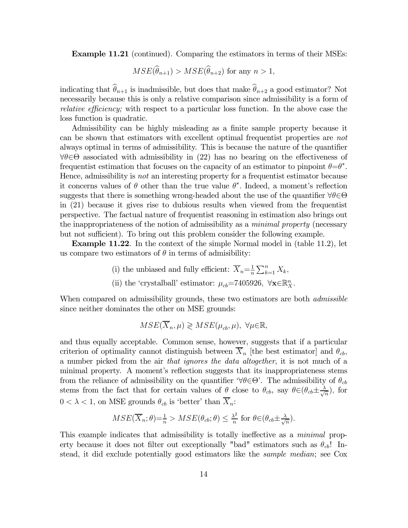Example 11.21 (continued). Comparing the estimators in terms of their MSEs:

$$
MSE(\widehat{\theta}_{n+1}) > MSE(\widehat{\theta}_{n+2})
$$
 for any  $n > 1$ ,

indicating that  $\widehat{\theta}_{n+1}$  is inadmissible, but does that make  $\widehat{\theta}_{n+2}$  a good estimator? Not necessarily because this is only a relative comparison since admissibility is a form of relative efficiency; with respect to a particular loss function. In the above case the loss function is quadratic.

Admissibility can be highly misleading as a finite sample property because it can be shown that estimators with excellent optimal frequentist properties are not always optimal in terms of admissibility. This is because the nature of the quantifier  $\forall \theta \in \Theta$  associated with admissibility in (22) has no bearing on the effectiveness of frequentist estimation that focuses on the capacity of an estimator to pinpoint  $\theta = \theta^*$ . Hence, admissibility is not an interesting property for a frequentist estimator because it concerns values of  $\theta$  other than the true value  $\theta^*$ . Indeed, a moment's reflection suggests that there is something wrong-headed about the use of the quantifier  $\forall \theta \in \Theta$ in (21) because it gives rise to dubious results when viewed from the frequentist perspective. The factual nature of frequentist reasoning in estimation also brings out the inappropriateness of the notion of admissibility as a *minimal property* (necessary but not sufficient). To bring out this problem consider the following example.

Example 11.22. In the context of the simple Normal model in (table 11.2), let us compare two estimators of  $\theta$  in terms of admisibility:

- (i) the unbiased and fully efficient:  $\overline{X}_n = \frac{1}{n} \sum_{k=1}^n X_k$ ,
- (ii) the 'crystalball' estimator:  $\mu_{cb}$ =7405926,  $\forall$ **x**∈ $\mathbb{R}_{X}^{n}$ .

When compared on admissibility grounds, these two estimators are both *admissible* since neither dominates the other on MSE grounds:

$$
MSE(\overline{X}_n, \mu) \geq MSE(\mu_{cb}, \mu), \ \forall \mu \in \mathbb{R},
$$

and thus equally acceptable. Common sense, however, suggests that if a particular criterion of optimality cannot distinguish between  $\overline{X}_n$  [the best estimator] and  $\theta_{cb}$ , a number picked from the air that ignores the data altogether, it is not much of a minimal property. A moment's reflection suggests that its inappropriateness stems from the reliance of admissibility on the quantifier  $\forall \theta \in \Theta'$ . The admissibility of  $\theta_{cb}$ stems from the fact that for certain values of  $\theta$  close to  $\theta_{cb}$ , say  $\theta \in (\theta_{cb} \pm \frac{\lambda}{\sqrt{n}})$ , for  $0 < \lambda < 1$ , on MSE grounds  $\theta_{cb}$  is 'better' than  $\overline{X}_n$ .

$$
MSE(\overline{X}_n; \theta) = \frac{1}{n} > MSE(\theta_{cb}; \theta) \le \frac{\lambda^2}{n} \text{ for } \theta \in (\theta_{cb} \pm \frac{\lambda}{\sqrt{n}}).
$$

This example indicates that admissibility is totally ineffective as a *minimal* property because it does not filter out exceptionally "bad" estimators such as  $\theta_{cb}$ ! Instead, it did exclude potentially good estimators like the *sample median*; see Cox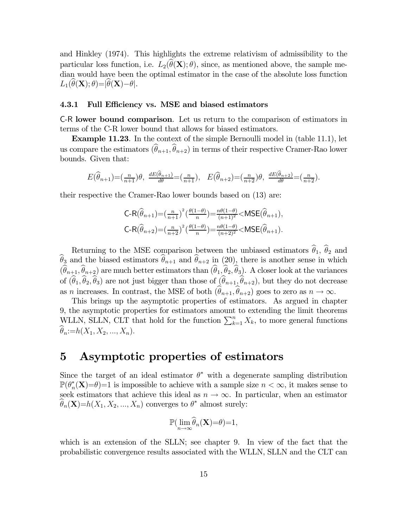and Hinkley (1974). This highlights the extreme relativism of admissibility to the particular loss function, i.e.  $L_2(\widehat{\theta}(\mathbf{X}); \theta)$ , since, as mentioned above, the sample median would have been the optimal estimator in the case of the absolute loss function  $L_1(\theta(\mathbf{X}); \theta) = |\theta(\mathbf{X}) - \theta|.$ 

#### 4.3.1 Full Efficiency vs. MSE and biased estimators

C-R lower bound comparison. Let us return to the comparison of estimators in terms of the C-R lower bound that allows for biased estimators.

Example 11.23. In the context of the simple Bernoulli model in (table 11.1), let us compare the estimators  $(\widehat{\theta}_{n+1}, \widehat{\theta}_{n+2})$  in terms of their respective Cramer-Rao lower bounds. Given that:

$$
E(\widehat{\theta}_{n+1}) = \left(\frac{n}{n+1}\right)\theta, \ \frac{dE(\widehat{\theta}_{n+1})}{d\theta} = \left(\frac{n}{n+1}\right), \ \ E(\widehat{\theta}_{n+2}) = \left(\frac{n}{n+2}\right)\theta, \ \frac{dE(\widehat{\theta}_{n+2})}{d\theta} = \left(\frac{n}{n+2}\right).
$$

their respective the Cramer-Rao lower bounds based on (13) are:

$$
\begin{aligned} &\mathsf{C\text{-}R}(\widehat{\theta}_{n+1}){=} \left(\tfrac{n}{n+1}\right)^2 \left(\tfrac{\theta(1-\theta)}{n}\right) {=} \tfrac{n\theta(1-\theta)}{(n+1)^2} {<} \mathsf{MSE}(\widehat{\theta}_{n+1}),\\ &\mathsf{C\text{-}R}(\widehat{\theta}_{n+2}) {=} \left(\tfrac{n}{n+2}\right)^2 \left(\tfrac{\theta(1-\theta)}{n}\right) {=} \tfrac{n\theta(1-\theta)}{(n+2)^2} {<} \mathsf{MSE}(\widehat{\theta}_{n+1}). \end{aligned}
$$

Returning to the MSE comparison between the unbiased estimators  $\hat{\theta}_1$ ,  $\hat{\theta}_2$  and  $\theta_3$  and the biased estimators  $\theta_{n+1}$  and  $\theta_{n+2}$  in (20), there is another sense in which  $(\theta_{n+1}, \theta_{n+2})$  are much better estimators than  $(\theta_1, \theta_2, \theta_3)$ . A closer look at the variances of  $(\widehat{\theta}_1,\widehat{\theta}_2,\widehat{\theta}_3)$  are not just bigger than those of  $(\widehat{\theta}_{n+1},\widehat{\theta}_{n+2})$ , but they do not decrease as *n* increases. In contrast, the MSE of both  $(\widehat{\theta}_{n+1}, \widehat{\theta}_{n+2})$  goes to zero as  $n \to \infty$ .

This brings up the asymptotic properties of estimators. As argued in chapter 9, the asymptotic properties for estimators amount to extending the limit theorems WLLN, SLLN, CLT that hold for the function  $\sum_{k=1}^{n} X_k$ , to more general functions  $\widehat{\theta}_n := h(X_1, X_2, ..., X_n).$ 

# 5 Asymptotic properties of estimators

Since the target of an ideal estimator  $\theta^*$  with a degenerate sampling distribution  $\mathbb{P}(\theta_n^*(\mathbf{X})=0)=1$  is impossible to achieve with a sample size  $n < \infty$ , it makes sense to seek estimators that achieve this ideal as  $n \to \infty$ . In particular, when an estimator  $\widehat{\theta}_n(\mathbf{X})=h(X_1, X_2, ..., X_n)$  converges to  $\theta^*$  almost surely:

$$
\mathbb{P}(\lim_{n\to\infty}\widehat{\theta}_n(\mathbf{X})=\theta)=1,
$$

which is an extension of the SLLN; see chapter 9. In view of the fact that the probabilistic convergence results associated with the WLLN, SLLN and the CLT can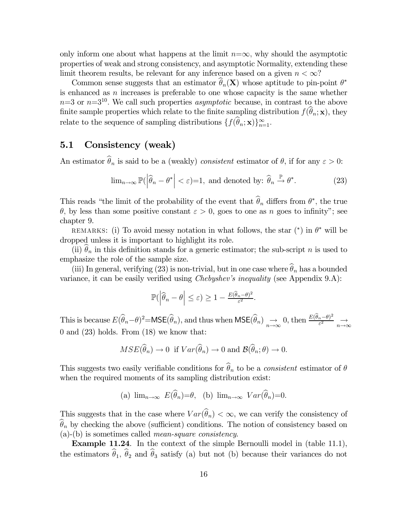only inform one about what happens at the limit  $n=\infty$ , why should the asymptotic properties of weak and strong consistency, and asymptotic Normality, extending these limit theorem results, be relevant for any inference based on a given  $n < \infty$ ?

Common sense suggests that an estimator  $\widehat{\theta}_n(\mathbf{X})$  whose aptitude to pin-point  $\theta^*$ is enhanced as  $n$  increases is preferable to one whose capacity is the same whether  $n=3$  or  $n=3^{10}$ . We call such properties *asymptotic* because, in contrast to the above finite sample properties which relate to the finite sampling distribution  $f(\hat{\theta}_n; \mathbf{x})$ , they relate to the sequence of sampling distributions  $\{f(\theta_n; \mathbf{x})\}_{n=1}^{\infty}$ .

## 5.1 Consistency (weak)

An estimator  $\widehat{\theta}_n$  is said to be a (weakly) consistent estimator of  $\theta$ , if for any  $\varepsilon > 0$ :

$$
\lim_{n \to \infty} \mathbb{P}(\left|\widehat{\theta}_n - \theta^*\right| < \varepsilon) = 1, \text{ and denoted by: } \widehat{\theta}_n \stackrel{\mathbb{P}}{\to} \theta^*.
$$
\n(23)

This reads "the limit of the probability of the event that  $\theta_n$  differs from  $\theta^*$ , the true  $\theta$ , by less than some positive constant  $\varepsilon > 0$ , goes to one as *n* goes to infinity"; see chapter 9.

REMARKS: (i) To avoid messy notation in what follows, the star  $(*)$  in  $\theta^*$  will be dropped unless it is important to highlight its role.

(ii)  $\hat{\theta}_n$  in this definition stands for a generic estimator; the sub-script *n* is used to emphasize the role of the sample size.

(iii) In general, verifying (23) is non-trivial, but in one case where  $\widehat{\theta}_n$  has a bounded variance, it can be easily verified using *Chebyshev's inequality* (see Appendix 9.A):

$$
\mathbb{P}(\left|\widehat{\theta}_n - \theta\right| \leq \varepsilon) \geq 1 - \frac{E(\widehat{\theta}_n - \theta)^2}{\varepsilon^2}.
$$

This is because  $E(\widehat{\theta}_n - \theta)^2 = \mathsf{MSE}(\widehat{\theta}_n)$ , and thus when  $\mathsf{MSE}(\widehat{\theta}_n) \longrightarrow 0$ , then  $\frac{E(\widehat{\theta}_n - \theta)^2}{\varepsilon^2} \longrightarrow$ 0 and (23) holds. From (18) we know that:

$$
MSE(\widehat{\theta}_n) \to 0 \text{ if } Var(\widehat{\theta}_n) \to 0 \text{ and } \mathcal{B}(\widehat{\theta}_n; \theta) \to 0.
$$

This suggests two easily verifiable conditions for  $\widehat{\theta}_n$  to be a *consistent* estimator of  $\theta$ when the required moments of its sampling distribution exist:

(a)  $\lim_{n\to\infty} E(\hat{\theta}_n)=\theta$ , (b)  $\lim_{n\to\infty} Var(\hat{\theta}_n)=0$ .

This suggests that in the case where  $Var(\widehat{\theta}_n) < \infty$ , we can verify the consistency of  $\hat{\theta}_n$  by checking the above (sufficient) conditions. The notion of consistency based on (a)-(b) is sometimes called mean-square consistency.

Example 11.24. In the context of the simple Bernoulli model in (table 11.1), the estimators  $\hat{\theta}_1$ ,  $\hat{\theta}_2$  and  $\hat{\theta}_3$  satisfy (a) but not (b) because their variances do not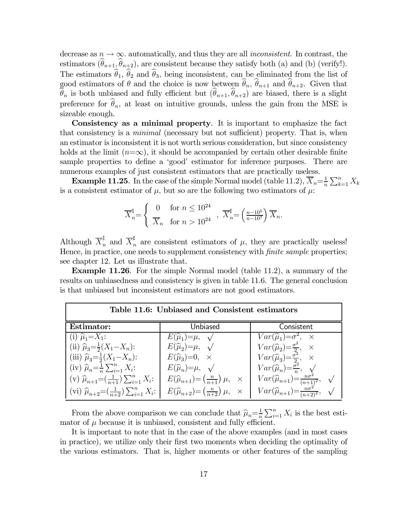decrease as  $n \to \infty$ , automatically, and thus they are all *inconsistent*. In contrast, the estimators  $(\widehat{\theta}_{n+1}, \widehat{\theta}_{n+2})$ , are consistent because they satisfy both (a) and (b) (verify!). The estimators  $\hat{\theta}_1$ ,  $\hat{\theta}_2$  and  $\hat{\theta}_3$ , being inconsistent, can be eliminated from the list of good estimators of  $\theta$  and the choice is now between  $\hat{\theta}_n$ ,  $\hat{\theta}_{n+1}$  and  $\hat{\theta}_{n+2}$ . Given that  $\widehat{\theta}_n$  is both unbiased and fully efficient but  $(\widehat{\theta}_{n+1}, \widehat{\theta}_{n+2})$  are biased, there is a slight preference for  $\hat{\theta}_n$ , at least on intuitive grounds, unless the gain from the MSE is sizeable enough.

Consistency as a minimal property. It is important to emphasize the fact that consistency is a *minimal* (necessary but not sufficient) property. That is, when an estimator is inconsistent it is not worth serious consideration, but since consistency holds at the limit  $(n=\infty)$ , it should be accompanied by certain other desirable finite sample properties to define a 'good' estimator for inference purposes. There are numerous examples of just consistent estimators that are practically useless.

**Example 11.25**. In the case of the simple Normal model (table 11.2),  $\overline{X}_n = \frac{1}{n} \sum_{k=1}^n X_k$ is a consistent estimator of  $\mu$ , but so are the following two estimators of  $\mu$ .

$$
\overline{X}_n^{\ddagger} = \begin{cases} 0 & \text{for } n \le 10^{24} \\ \overline{X}_n & \text{for } n > 10^{24} \end{cases}, \overline{X}_n^{\sharp} = \left(\frac{n-10^5}{n-10^7}\right) \overline{X}_n.
$$

Although  $\overline{X}_n^{\sharp}$  and  $\overline{X}_n^{\sharp}$  are consistent estimators of  $\mu$ , they are practically useless! Hence, in practice, one needs to supplement consistency with *finite sample* properties; see chapter 12. Let us illustrate that.

Example 11.26. For the simple Normal model (table 11.2), a summary of the results on unbiasedness and consistency is given in table 11.6. The general conclusion is that unbiased but inconsistent estimators are not good estimators.

| Table 11.6: Unbiased and Consistent estimators                   |                                                                        |                                                                                            |  |  |  |
|------------------------------------------------------------------|------------------------------------------------------------------------|--------------------------------------------------------------------------------------------|--|--|--|
| Estimator:                                                       | Unbiased                                                               | Consistent                                                                                 |  |  |  |
| (i) $\hat{\mu}_1 = X_1$ :                                        | $E(\widehat{\mu}_1)=\mu, \quad \sqrt{\phantom{a}}$                     | $Var(\widehat{\mu}_1) = \sigma^2$ , $\times$                                               |  |  |  |
| (ii) $\hat{\mu}_3 = \frac{1}{2}(X_1 - X_n)$ :                    | $E(\widehat{\mu}_2) = \mu$ , $\sqrt{\phantom{0}}$                      | $Var(\widehat{\mu}_2) = \frac{\sigma^2}{2}, \quad \times$                                  |  |  |  |
| (iii) $\hat{\mu}_3 = \frac{1}{2}(X_1 - X_n)$ :                   | $E(\widehat{\mu}_3)=0, \quad \times$                                   | $Var(\widehat{\mu}_3) = \frac{\sigma^2}{2}, \quad \times$                                  |  |  |  |
| (iv) $\hat{\mu}_n = \frac{1}{n} \sum_{i=1}^n X_i$ :              | $E(\widehat{\mu}_n)=\mu, \quad \sqrt{\phantom{a}}$                     | $Var(\widehat{\mu}_n) = \frac{\sigma^2}{n}, \quad \sqrt{2}$                                |  |  |  |
| (v) $\widehat{\mu}_{n+1} = (\frac{1}{n+1}) \sum_{i=1}^{n} X_i$ : | $E(\widehat{\mu}_{n+1}) = \left(\frac{n}{n+1}\right)\mu, \quad \times$ | $Var(\widehat{\mu}_{n+1}) = \frac{n\sigma^2}{(n+1)^2}, \quad \sqrt{\frac{n\sigma^2}{n+1}}$ |  |  |  |
| (vi) $\hat{\mu}_{n+2} = (\frac{1}{n+2}) \sum_{i=1}^{n} X_i$ :    | $E(\widehat{\mu}_{n+2}) = \left(\frac{n}{n+2}\right)\mu, \quad \times$ | $Var(\widehat{\mu}_{n+1}) = \frac{n\sigma^2}{(n+2)^2}, \quad \sqrt{\frac{n\sigma^2}{n^2}}$ |  |  |  |

From the above comparison we can conclude that  $\hat{\mu}_n = \frac{1}{n} \sum_{i=1}^n X_i$  is the best estimator of  $\mu$  because it is unbiased, consistent and fully efficient.

It is important to note that in the case of the above examples (and in most cases in practice), we utilize only their first two moments when deciding the optimality of the various estimators. That is, higher moments or other features of the sampling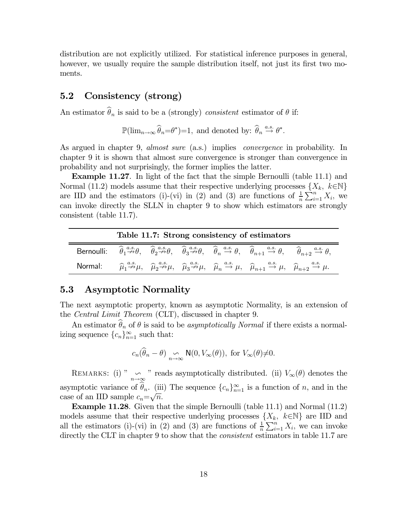distribution are not explicitly utilized. For statistical inference purposes in general, however, we usually require the sample distribution itself, not just its first two moments.

### 5.2 Consistency (strong)

An estimator  $\widehat{\theta}_n$  is said to be a (strongly) consistent estimator of  $\theta$  if:

 $\mathbb{P}(\lim_{n\to\infty}\widehat{\theta}_n=\theta^*)=1$ , and denoted by:  $\widehat{\theta}_n \stackrel{a.s.}{\to} \theta^*$ .

As argued in chapter 9, *almost sure* (a.s.) implies *convergence* in probability. In chapter 9 it is shown that almost sure convergence is stronger than convergence in probability and not surprisingly, the former implies the latter.

Example 11.27. In light of the fact that the simple Bernoulli (table 11.1) and Normal (11.2) models assume that their respective underlying processes  $\{X_k, k \in \mathbb{N}\}\$ are IID and the estimators (i)-(vi) in (2) and (3) are functions of  $\frac{1}{n}\sum_{i=1}^{n} X_i$ , we can invoke directly the SLLN in chapter 9 to show which estimators are strongly consistent (table 11.7).

| Table 11.7: Strong consistency of estimators |  |  |  |                                                                                                                                                                                                                                                                                                                                                                    |  |
|----------------------------------------------|--|--|--|--------------------------------------------------------------------------------------------------------------------------------------------------------------------------------------------------------------------------------------------------------------------------------------------------------------------------------------------------------------------|--|
|                                              |  |  |  | Bernoulli: $\hat{\theta}_1 \stackrel{a.s.}{\nrightarrow} \theta$ , $\hat{\theta}_2 \stackrel{a.s.}{\nrightarrow} \theta$ , $\hat{\theta}_3 \stackrel{a.s.}{\nrightarrow} \theta$ , $\hat{\theta}_n \stackrel{a.s.}{\nrightarrow} \theta$ , $\hat{\theta}_{n+1} \stackrel{a.s.}{\nrightarrow} \theta$ , $\hat{\theta}_{n+2} \stackrel{a.s.}{\nrightarrow} \theta$ , |  |
|                                              |  |  |  | Normal: $\hat{\mu}_1 \stackrel{a.s.}{\nrightarrow} \mu$ , $\hat{\mu}_2 \stackrel{a.s.}{\nrightarrow} \mu$ , $\hat{\mu}_3 \stackrel{a.s.}{\nrightarrow} \mu$ , $\hat{\mu}_n \stackrel{a.s.}{\nrightarrow} \mu$ , $\hat{\mu}_{n+1} \stackrel{a.s.}{\nrightarrow} \mu$ , $\hat{\mu}_{n+2} \stackrel{a.s.}{\nrightarrow} \mu$ .                                        |  |

## 5.3 Asymptotic Normality

The next asymptotic property, known as asymptotic Normality, is an extension of the Central Limit Theorem (CLT), discussed in chapter 9.

An estimator  $\hat{\theta}_n$  of  $\theta$  is said to be *asymptotically Normal* if there exists a normalizing sequence  ${c_n}_{n=1}^{\infty}$  such that:

$$
c_n(\widehat{\theta}_n - \theta) \underset{n \to \infty}{\sim} \mathsf{N}(0, V_{\infty}(\theta)), \text{ for } V_{\infty}(\theta) \neq 0.
$$

REMARKS: (i) "  $\infty$  " reads asymptotically distributed. (ii)  $V_{\infty}(\theta)$  denotes the asymptotic variance of  $\theta_n$ . (iii) The sequence  $\{c_n\}_{n=1}^{\infty}$  is a function of n, and in the case of an IID sample  $c_n = \sqrt{n}$ .

Example 11.28. Given that the simple Bernoulli (table 11.1) and Normal (11.2) models assume that their respective underlying processes  $\{X_k, k \in \mathbb{N}\}\$ are IID and all the estimators (i)-(vi) in (2) and (3) are functions of  $\frac{1}{n} \sum_{i=1}^{n} X_i$ , we can invoke directly the CLT in chapter 9 to show that the *consistent* estimators in table 11.7 are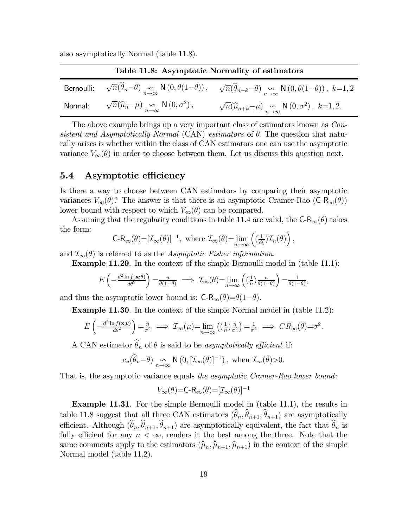also asymptotically Normal (table 11.8).

| Table 11.8: Asymptotic Normality of estimators                                               |                                                                                                                                                                                                                                                       |
|----------------------------------------------------------------------------------------------|-------------------------------------------------------------------------------------------------------------------------------------------------------------------------------------------------------------------------------------------------------|
|                                                                                              | Bernoulli: $\sqrt{n}(\widehat{\theta}_n-\theta) \underset{n\to\infty}{\sim} \mathsf{N}\left(0, \theta(1-\theta)\right), \quad \sqrt{n}(\widehat{\theta}_{n+k}-\theta) \underset{n\to\infty}{\sim} \mathsf{N}\left(0, \theta(1-\theta)\right), k=1, 2$ |
| Normal: $\sqrt{n}(\widehat{\mu}_n-\mu) \underset{n\to\infty}{\sim} \mathsf{N}(0,\sigma^2)$ , | $\sqrt{n}(\widehat{\mu}_{n+k}-\mu) \underset{n\to\infty}{\sim} \mathsf{N}(0,\sigma^2), k=1,2.$                                                                                                                                                        |

The above example brings up a very important class of estimators known as Consistent and Asymptotically Normal (CAN) estimators of  $\theta$ . The question that naturally arises is whether within the class of CAN estimators one can use the asymptotic variance  $V_{\infty}(\theta)$  in order to choose between them. Let us discuss this question next.

### 5.4 Asymptotic efficiency

Is there a way to choose between CAN estimators by comparing their asymptotic variances  $V_{\infty}(\theta)$ ? The answer is that there is an asymptotic Cramer-Rao (C-R<sub>∞</sub> $(\theta)$ ) lower bound with respect to which  $V_{\infty}(\theta)$  can be compared.

Assuming that the regularity conditions in table 11.4 are valid, the  $C-R_{\infty}(\theta)$  takes the form:

$$
\mathsf{C}\text{-}\mathsf{R}_\infty(\theta)\text{=}[{\mathcal{I}}_\infty(\theta)]^{-1}, \text{ where } {\mathcal{I}}_\infty(\theta)\text{=}\lim_{n\to\infty}\left((\tfrac{1}{c_n^2}){\mathcal{I}}_n(\theta)\right),
$$

and  $\mathcal{I}_{\infty}(\theta)$  is referred to as the Asymptotic Fisher information.

Example 11.29. In the context of the simple Bernoulli model in (table 11.1):

$$
E\left(-\frac{d^2\ln f(\mathbf{x};\theta)}{d\theta^2}\right) = \frac{n}{\theta(1-\theta)} \implies \mathcal{I}_{\infty}(\theta) = \lim_{n \to \infty} \left(\left(\frac{1}{n}\right) \frac{n}{\theta(1-\theta)}\right) = \frac{1}{\theta(1-\theta)},
$$

and thus the asymptotic lower bound is:  $C-R_{\infty}(\theta)=\theta(1-\theta)$ .

Example 11.30. In the context of the simple Normal model in (table 11.2):

$$
E\left(-\frac{d^2\ln f(\mathbf{x};\theta)}{d\theta^2}\right) = \frac{n}{\sigma^2} \implies \mathcal{I}_{\infty}(\mu) = \lim_{n \to \infty} \left( \left(\frac{1}{n}\right) \frac{n}{\sigma^2} \right) = \frac{1}{\sigma^2} \implies CR_{\infty}(\theta) = \sigma^2.
$$

A CAN estimator  $\widehat{\theta}_n$  of  $\theta$  is said to be *asymptotically efficient* if:

$$
c_n(\widehat{\theta}_n-\theta) \underset{n\to\infty}{\sim} \mathsf{N}\left(0,\left[\mathcal{I}_\infty(\theta)\right]^{-1}\right), \text{ when } \mathcal{I}_\infty(\theta) \geq 0.
$$

That is, the asymptotic variance equals the asymptotic Cramer-Rao lower bound:

$$
V_\infty(\theta){=} \mathsf{C}\text{-}\mathsf{R}_\infty(\theta){=}[\mathcal{I}_\infty(\theta)]^{-1}
$$

Example 11.31. For the simple Bernoulli model in (table 11.1), the results in table 11.8 suggest that all three CAN estimators  $(\widehat{\theta}_n, \widehat{\theta}_{n+1}, \widehat{\theta}_{n+1})$  are asymptotically efficient. Although  $(\widehat{\theta}_n, \widehat{\theta}_{n+1}, \widehat{\theta}_{n+1})$  are asymptotically equivalent, the fact that  $\widehat{\theta}_n$  is fully efficient for any  $n < \infty$ , renders it the best among the three. Note that the same comments apply to the estimators  $(\widehat{\mu}_n, \widehat{\mu}_{n+1}, \widehat{\mu}_{n+1})$  in the context of the simple Normal model (table 11.2).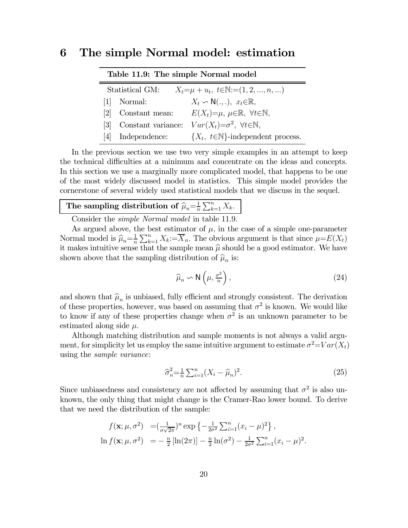## 6 The simple Normal model: estimation

| Table 11.9: The simple Normal model                                     |                    |                                                                 |  |  |
|-------------------------------------------------------------------------|--------------------|-----------------------------------------------------------------|--|--|
| Statistical GM:<br>$X_t = \mu + u_t, t \in \mathbb{N} := (1, 2, , n, )$ |                    |                                                                 |  |  |
|                                                                         | [1] Normal:        | $X_t \backsim \mathsf{N}(\ldots), \ x_t \in \mathbb{R},$        |  |  |
| <u>[2]</u>                                                              | Constant mean:     | $E(X_t)=\mu, \ \mu \in \mathbb{R}, \ \forall t \in \mathbb{N},$ |  |  |
| 131                                                                     | Constant variance: | $Var(X_t) = \sigma^2$ , $\forall t \in \mathbb{N}$ ,            |  |  |
| 14 I                                                                    | Independence:      | $\{X_t, t \in \mathbb{N}\}\text{-independent process.}$         |  |  |

In the previous section we use two very simple examples in an attempt to keep the technical difficulties at a minimum and concentrate on the ideas and concepts. In this section we use a marginally more complicated model, that happens to be one of the most widely discussed model in statistics. This simple model provides the cornerstone of several widely used statistical models that we discuss in the sequel.

# The sampling distribution of  $\widehat{\mu}_n = \frac{1}{n} \sum_{k=1}^n X_k$ .

Consider the simple Normal model in table 11.9.

As argued above, the best estimator of  $\mu$ , in the case of a simple one-parameter Normal model is  $\hat{\mu}_n = \frac{1}{n} \sum_{k=1}^n X_k = \overline{X}_n$ . The obvious argument is that since  $\mu = E(X_t)$ it makes intuitive sense that the sample mean  $\hat{\mu}$  should be a good estimator. We have shown above that the sampling distribution of  $\hat{\mu}_n$  is:

$$
\widehat{\mu}_n \backsim \mathsf{N}\left(\mu, \frac{\sigma^2}{n}\right),\tag{24}
$$

and shown that  $\hat{\mu}_n$  is unbiased, fully efficient and strongly consistent. The derivation of these properties, however, was based on assuming that  $\sigma^2$  is known. We would like to know if any of these properties change when  $\sigma^2$  is an unknown parameter to be estimated along side  $\mu$ .

Although matching distribution and sample moments is not always a valid argument, for simplicity let us employ the same intuitive argument to estimate  $\sigma^2 = Var(X_t)$ using the sample variance:

$$
\hat{\sigma}_n^2 = \frac{1}{n} \sum_{i=1}^n (X_i - \hat{\mu}_n)^2.
$$
 (25)

Since unbiasedness and consistency are not affected by assuming that  $\sigma^2$  is also unknown, the only thing that might change is the Cramer-Rao lower bound. To derive that we need the distribution of the sample:

$$
f(\mathbf{x}; \mu, \sigma^2) = (\frac{1}{\sigma\sqrt{2\pi}})^n \exp\left\{-\frac{1}{2\sigma^2} \sum_{i=1}^n (x_i - \mu)^2\right\},
$$
  

$$
\ln f(\mathbf{x}; \mu, \sigma^2) = -\frac{n}{2} [\ln(2\pi)] - \frac{n}{2} \ln(\sigma^2) - \frac{1}{2\sigma^2} \sum_{i=1}^n (x_i - \mu)^2.
$$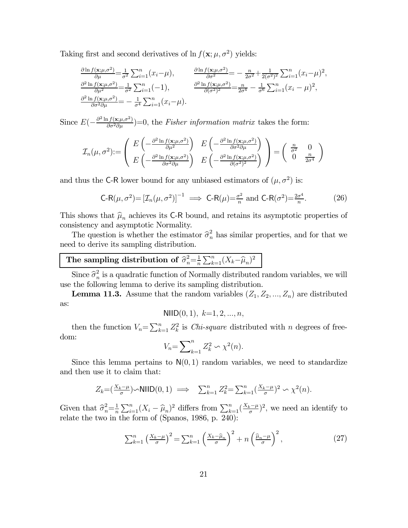Taking first and second derivatives of  $\ln f(\mathbf{x}; \mu, \sigma^2)$  yields:

$$
\frac{\partial \ln f(\mathbf{x};\mu,\sigma^2)}{\partial \mu} = \frac{1}{\sigma^2} \sum_{i=1}^n (x_i - \mu), \qquad \frac{\partial \ln f(\mathbf{x};\mu,\sigma^2)}{\partial \sigma^2} = -\frac{n}{2\sigma^2} + \frac{1}{2(\sigma^2)^2} \sum_{i=1}^n (x_i - \mu)^2,
$$
\n
$$
\frac{\partial^2 \ln f(\mathbf{x};\mu,\sigma^2)}{\partial \mu^2} = \frac{1}{\sigma^2} \sum_{i=1}^n (-1), \qquad \frac{\partial^2 \ln f(\mathbf{x};\mu,\sigma^2)}{\partial (\sigma^2)^2} = \frac{n}{2\sigma^4} - \frac{1}{\sigma^6} \sum_{i=1}^n (x_i - \mu)^2,
$$
\n
$$
\frac{\partial^2 \ln f(\mathbf{x};\mu,\sigma^2)}{\partial \sigma^2 \partial \mu} = -\frac{1}{\sigma^4} \sum_{i=1}^n (x_i - \mu).
$$

Since  $E(-\frac{\partial^2 \ln f(\mathbf{x};\mu,\sigma^2)}{\partial \sigma^2 \partial \mu})=0$ , the Fisher information matrix takes the form:

$$
\mathcal{I}_n(\mu, \sigma^2) := \begin{pmatrix} E\left(-\frac{\partial^2 \ln f(\mathbf{x}; \mu, \sigma^2)}{\partial \mu^2}\right) & E\left(-\frac{\partial^2 \ln f(\mathbf{x}; \mu, \sigma^2)}{\partial \sigma^2 \partial \mu}\right) \\ E\left(-\frac{\partial^2 \ln f(\mathbf{x}; \mu, \sigma^2)}{\partial \sigma^2 \partial \mu}\right) & E\left(-\frac{\partial^2 \ln f(\mathbf{x}; \mu, \sigma^2)}{\partial (\sigma^2)^2}\right) \end{pmatrix} = \begin{pmatrix} \frac{n}{\sigma^2} & 0 \\ 0 & \frac{n}{2\sigma^4} \end{pmatrix}
$$

and thus the C-R lower bound for any unbiased estimators of  $(\mu, \sigma^2)$  is:

$$
\mathsf{C}\text{-}\mathsf{R}(\mu,\sigma^2) = \left[\mathcal{I}_n(\mu,\sigma^2)\right]^{-1} \implies \mathsf{C}\text{-}\mathsf{R}(\mu) = \frac{\sigma^2}{n} \text{ and } \mathsf{C}\text{-}\mathsf{R}(\sigma^2) = \frac{2\sigma^4}{n}.\tag{26}
$$

This shows that  $\widehat{\mu}_n$  achieves its C-R bound, and retains its asymptotic properties of consistency and asymptotic Normality.

The question is whether the estimator  $\hat{\sigma}_n^2$  has similar properties, and for that we need to derive its sampling distribution.

# The sampling distribution of  $\hat{\sigma}_n^2 = \frac{1}{n} \sum_{k=1}^n (X_k - \hat{\mu}_n)^2$

Since  $\hat{\sigma}_n^2$  is a quadratic function of Normally distributed random variables, we will use the following lemma to derive its sampling distribution.

**Lemma 11.3.** Assume that the random variables  $(Z_1, Z_2, ..., Z_n)$  are distributed as:

$$
\text{NIID}(0,1), k=1,2,...,n,
$$

then the function  $V_n = \sum_{k=1}^n Z_k^2$  is *Chi-square* distributed with *n* degrees of freedom:

$$
V_n = \sum_{k=1}^n Z_k^2 \backsim \chi^2(n).
$$

Since this lemma pertains to  $N(0, 1)$  random variables, we need to standardize and then use it to claim that:

$$
Z_k = \left(\frac{X_k - \mu}{\sigma}\right) \sim \text{NIID}(0, 1) \implies \sum_{k=1}^n Z_k^2 = \sum_{k=1}^n \left(\frac{X_k - \mu}{\sigma}\right)^2 \sim \chi^2(n).
$$

Given that  $\hat{\sigma}_n^2 = \frac{1}{n} \sum_{i=1}^n (X_i - \hat{\mu}_n)^2$  differs from  $\sum_{k=1}^n (\frac{X_k - \mu}{\sigma})^2$ , we need an identify to relate the two in the form of (Spanos, 1986, p. 240):

$$
\sum_{k=1}^{n} \left(\frac{X_k - \mu}{\sigma}\right)^2 = \sum_{k=1}^{n} \left(\frac{X_k - \widehat{\mu}_n}{\sigma}\right)^2 + n \left(\frac{\widehat{\mu}_n - \mu}{\sigma}\right)^2, \tag{27}
$$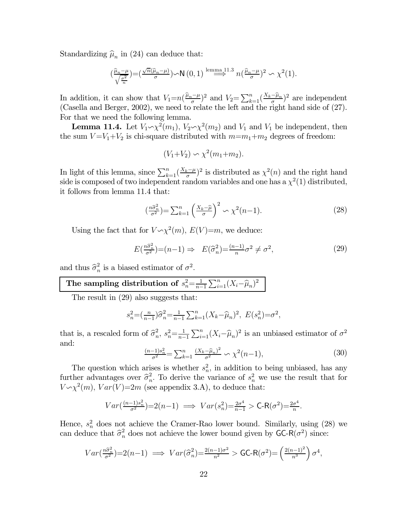Standardizing  $\hat{\mu}_n$  in (24) can deduce that:

$$
\left(\frac{\widehat{\mu}_n-\mu}{\sqrt{\frac{\sigma^2}{n}}}\right)=\left(\frac{\sqrt{n}(\widehat{\mu}_n-\mu)}{\sigma}\right)\sim N\left(0,1\right)\stackrel{\text{lemma }11.3}{\Longrightarrow} n\left(\frac{\widehat{\mu}_n-\mu}{\sigma}\right)^2\sim\chi^2(1).
$$

In addition, it can show that  $V_1=n(\frac{\hat{\mu}_n-\mu}{\sigma})^2$  and  $V_2=\sum_{k=1}^n(\frac{X_k-\hat{\mu}_n}{\sigma})^2$  are independent (Casella and Berger, 2002), we need to relate the left and the right hand side of (27). For that we need the following lemma.

**Lemma 11.4.** Let  $V_1 \sim \chi^2(m_1)$ ,  $V_2 \sim \chi^2(m_2)$  and  $V_1$  and  $V_1$  be independent, then the sum  $V = V_1 + V_2$  is chi-square distributed with  $m = m_1 + m_2$  degrees of freedom:

$$
(V_1 + V_2) \sim \chi^2(m_1 + m_2).
$$

In light of this lemma, since  $\sum_{k=1}^{n} (\frac{X_k - \mu}{\sigma})^2$  is distributed as  $\chi^2(n)$  and the right hand side is composed of two independent random variables and one has a  $\chi^2(1)$  distributed, it follows from lemma 11.4 that:

$$
\left(\frac{n\hat{\sigma}_n^2}{\sigma^2}\right) = \sum_{k=1}^n \left(\frac{X_k - \hat{\mu}}{\sigma}\right)^2 \sim \chi^2(n-1). \tag{28}
$$

Using the fact that for  $V \sim \chi^2(m)$ ,  $E(V)=m$ , we deduce:

$$
E\left(\frac{n\hat{\sigma}_n^2}{\sigma^2}\right) = (n-1) \Rightarrow E(\hat{\sigma}_n^2) = \frac{(n-1)}{n}\sigma^2 \neq \sigma^2,\tag{29}
$$

and thus  $\hat{\sigma}_n^2$  is a biased estimator of  $\sigma^2$ .

#### The sampling distribution of  $s_n^2 = \frac{1}{n-1}$  $\sum_{i=1}^n (X_i - \widehat{\mu}_n)^2$

The result in (29) also suggests that:

$$
s_n^2 = \left(\frac{n}{n-1}\right)\widehat{\sigma}_n^2 = \frac{1}{n-1}\sum_{k=1}^n (X_k - \widehat{\mu}_n)^2
$$
,  $E(s_n^2) = \sigma^2$ ,

that is, a rescaled form of  $\hat{\sigma}_n^2$ ,  $s_n^2 = \frac{1}{n-1}$  $\sum_{i=1}^{n} (X_i - \widehat{\mu}_n)^2$  is an unbiased estimator of  $\sigma^2$ and:

$$
\frac{(n-1)s_n^2}{\sigma^2} = \sum_{k=1}^n \frac{(X_k - \hat{\mu}_n)^2}{\sigma^2} \sim \chi^2(n-1),\tag{30}
$$

The question which arises is whether  $s_n^2$ , in addition to being unbiased, has any further advantages over  $\hat{\sigma}_n^2$ . To derive the variance of  $s_n^2$  we use the result that for  $V \sim \chi^2(m)$ ,  $Var(V)=2m$  (see appendix 3.A), to deduce that:

$$
Var(\frac{(n-1)s_n^2}{\sigma^2})=2(n-1) \implies Var(s_n^2)=\frac{2\sigma^4}{n-1} > \mathsf{C}\text{-}\mathsf{R}(\sigma^2)=\frac{2\sigma^4}{n}.
$$

Hence,  $s_n^2$  does not achieve the Cramer-Rao lower bound. Similarly, using (28) we can deduce that  $\hat{\sigma}_n^2$  does not achieve the lower bound given by  $GC-R(\sigma^2)$  since:

$$
Var\left(\frac{n\hat{\sigma}_n^2}{\sigma^2}\right) = 2(n-1) \implies Var\left(\hat{\sigma}_n^2\right) = \frac{2(n-1)\sigma^2}{n^2} > \text{GC-R}(\sigma^2) = \left(\frac{2(n-1)^2}{n^3}\right)\sigma^4,
$$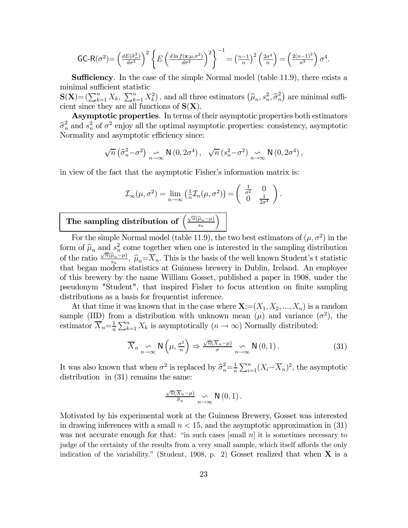$$
\text{GC-R}(\sigma^2) = \left(\frac{dE(\hat{\sigma}_n^2)}{d\sigma^2}\right)^2 \left\{ E\left(\frac{d\ln f(\mathbf{x}; \mu, \sigma^2)}{d\sigma^2}\right)^2 \right\}^{-1} = \left(\frac{n-1}{n}\right)^2 \left(\frac{2\sigma^4}{n}\right) = \left(\frac{2(n-1)^2}{n^3}\right) \sigma^4.
$$

Sufficiency. In the case of the simple Normal model (table 11.9), there exists a minimal sufficient statistic

 $\mathbf{S}(\mathbf{X}) = (\sum_{k=1}^n X_k, \sum_{k=1}^n X_k^2)$ , and all three estimators  $(\widehat{\mu}_n, s_n^2, \widehat{\sigma}_n^2)$  are minimal sufficient since they are all functions of  $S(X)$ .

Asymptotic properties. In terms of their asymptotic properties both estimators  $\hat{\sigma}_n^2$  and  $s_n^2$  of  $\sigma^2$  enjoy all the optimal asymptotic properties: consistency, asymptotic Neurality and asymptotic efficiency since Normality and asymptotic efficiency since:

$$
\sqrt{n} \left( \widehat{\sigma}_n^2 - \sigma^2 \right) \underset{n \to \infty}{\sim} \mathsf{N} \left( 0, 2\sigma^4 \right), \quad \sqrt{n} \left( s_n^2 - \sigma^2 \right) \underset{n \to \infty}{\sim} \mathsf{N} \left( 0, 2\sigma^4 \right),
$$

in view of the fact that the asymptotic Fisher's information matrix is:

$$
\mathcal{I}_{\infty}(\mu, \sigma^2) = \lim_{n \to \infty} \left( \frac{1}{n} \mathcal{I}_n(\mu, \sigma^2) \right) = \begin{pmatrix} \frac{1}{\sigma^2} & 0 \\ 0 & \frac{1}{2\sigma^4} \end{pmatrix}.
$$

´

#### The sampling distribution of  $\sqrt{n}(\widehat{\boldsymbol{\mu}}_n - \boldsymbol{\mu})$

For the simple Normal model (table 11.9), the two best estimators of  $(\mu, \sigma^2)$  in the form of  $\hat{\mu}_n$  and  $s_n^2$  come together when one is interested in the sampling distribution of the ratio  $\frac{\sqrt{n}(\hat{\mu}_n - \mu)}{s_n}$ ,  $\hat{\mu}_n = \overline{X}_n$ . This is the basis of the well known Student's t statistic that began modern statistics at Guinness brewery in Dublin, Ireland. An employee of this brewery by the name William Gosset, published a paper in 1908, under the pseudonym "Student", that inspired Fisher to focus attention on finite sampling distributions as a basis for frequentist inference.

At that time it was known that in the case where  $\mathbf{X} := (X_1, X_2, ..., X_n)$  is a random sample (IID) from a distribution with unknown mean  $(\mu)$  and variance  $(\sigma^2)$ , the estimator  $\overline{X}_n = \frac{1}{n} \sum_{k=1}^n X_k$  is asymptotically  $(n \to \infty)$  Normally distributed:

$$
\overline{X}_{n} \underset{n \to \infty}{\sim} \mathsf{N}\left(\mu, \frac{\sigma^{2}}{n}\right) \Rightarrow \frac{\sqrt{n}(\overline{X}_{n} - \mu)}{\sigma} \underset{n \to \infty}{\sim} \mathsf{N}\left(0, 1\right). \tag{31}
$$

It was also known that when  $\sigma^2$  is replaced by  $\hat{\sigma}_n^2 = \frac{1}{n} \sum_{i=1}^n (X_i - \overline{X}_n)^2$ , the asymptotic distribution in (31) remains the same:

$$
\frac{\sqrt{n}(\overline{X}_n-\mu)}{\widehat{\sigma}_n} \underset{n\to\infty}{\sim} \mathsf{N}\left(0,1\right).
$$

Motivated by his experimental work at the Guinness Brewery, Gosset was interested in drawing inferences with a small  $n < 15$ , and the asymptotic approximation in  $(31)$ was not accurate enough for that: "in such cases  $[\text{small } n]$  it is sometimes necessary to judge of the certainty of the results from a very small sample, which itself affords the only indication of the variability." (Student, 1908, p. 2) Gosset realized that when  $X$  is a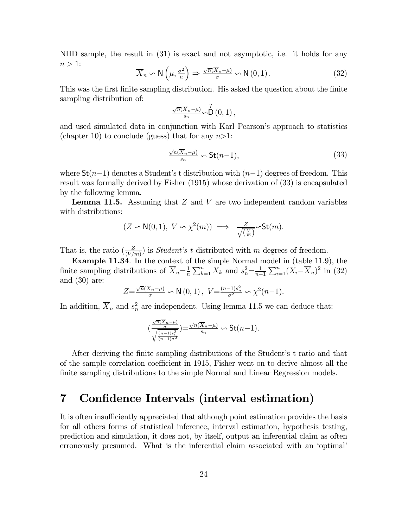NIID sample, the result in (31) is exact and not asymptotic, i.e. it holds for any  $n>1$ :

$$
\overline{X}_n \backsim \mathsf{N}\left(\mu, \frac{\sigma^2}{n}\right) \Rightarrow \frac{\sqrt{n}(\overline{X}_n - \mu)}{\sigma} \backsim \mathsf{N}\left(0, 1\right). \tag{32}
$$

This was the first finite sampling distribution. His asked the question about the finite sampling distribution of:

$$
\frac{\sqrt{n}(\overline{X}_n-\mu)}{s_n}\sim \stackrel{?}{\mathsf{D}}(0,1)\,,
$$

and used simulated data in conjunction with Karl Pearson's approach to statistics (chapter 10) to conclude (guess) that for any  $n>1$ :

$$
\frac{\sqrt{n}(\overline{X}_n-\mu)}{s_n} \backsim \mathsf{St}(n-1),\tag{33}
$$

where  $St(n-1)$  denotes a Student's t distribution with  $(n-1)$  degrees of freedom. This result was formally derived by Fisher (1915) whose derivation of (33) is encapsulated by the following lemma.

**Lemma 11.5.** Assuming that  $Z$  and  $V$  are two independent random variables with distributions:

$$
(Z \backsim \mathsf{N}(0,1), V \backsim \chi^2(m)) \implies \frac{Z}{\sqrt{\left(\frac{V}{m}\right)}} \backsim \mathsf{St}(m).
$$

That is, the ratio  $(\frac{Z}{(V/m)})$  is *Student's t* distributed with m degrees of freedom.

Example 11.34. In the context of the simple Normal model in (table 11.9), the finite sampling distributions of  $\overline{X}_n = \frac{1}{n} \sum_{k=1}^n X_k$  and  $s_n^2 = \frac{1}{n-1}$  $\sum_{i=1}^{n} (X_i - \overline{X}_n)^2$  in (32) and (30) are:

$$
Z = \frac{\sqrt{n}(\overline{X}_n - \mu)}{\sigma} \sim \mathsf{N}\left(0, 1\right), \ V = \frac{(n-1)s_n^2}{\sigma^2} \sim \chi^2(n-1).
$$

In addition,  $\overline{X}_n$  and  $s_n^2$  are independent. Using lemma 11.5 we can deduce that:

$$
(\frac{\frac{\sqrt{n}(\overline{X}_n-\mu)}{\sigma}}{\sqrt{\frac{(n-1)s_n^2}{(n-1)\sigma^2}}})=\frac{\sqrt{n}(\overline{X}_n-\mu)}{s_n}\backsim \mathrm{St}(n-1).
$$

After deriving the finite sampling distributions of the Student's t ratio and that of the sample correlation coefficient in 1915, Fisher went on to derive almost all the finite sampling distributions to the simple Normal and Linear Regression models.

# 7 Confidence Intervals (interval estimation)

It is often insufficiently appreciated that although point estimation provides the basis for all others forms of statistical inference, interval estimation, hypothesis testing, prediction and simulation, it does not, by itself, output an inferential claim as often erroneously presumed. What is the inferential claim associated with an 'optimal'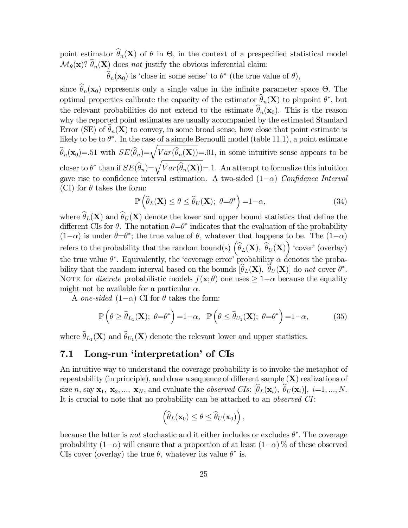point estimator  $\hat{\theta}_n(\mathbf{X})$  of  $\theta$  in  $\Theta$ , in the context of a prespecified statistical model  $\mathcal{M}_{\theta}(\mathbf{x})$ ?  $\widehat{\theta}_n(\mathbf{X})$  does not justify the obvious inferential claim:

 $\widehat{\theta}_n(\mathbf{x}_0)$  is 'close in some sense' to  $\theta^*$  (the true value of  $\theta$ ),

since  $\hat{\theta}_n(\mathbf{x}_0)$  represents only a single value in the infinite parameter space Θ. The optimal properties calibrate the capacity of the estimator  $\theta_n(\mathbf{X})$  to pinpoint  $\theta^*$ , but the relevant probabilities do not extend to the estimate  $\widehat{\theta}_n(\mathbf{x}_0)$ . This is the reason why the reported point estimates are usually accompanied by the estimated Standard Error (SE) of  $\widehat{\theta}_n(\mathbf{X})$  to convey, in some broad sense, how close that point estimate is likely to be to  $\theta^*$ . In the case of a simple Bernoulli model (table 11.1), a point estimate  $\widehat{\theta}_n(\mathbf{x}_0) = 51$  with  $SE(\widehat{\theta}_n) = \sqrt{Var(\widehat{\theta}_n(\mathbf{X}))} = 0.01$ , in some intuitive sense appears to be closer to  $\theta^*$  than if  $SE(\widehat{\theta}_n) = \sqrt{Var(\widehat{\theta}_n(\mathbf{X}))} = 1$ . An attempt to formalize this intuition gave rise to confidence interval estimation. A two-sided  $(1-\alpha)$  Confidence Interval (CI) for  $\theta$  takes the form:

$$
\mathbb{P}\left(\widehat{\theta}_L(\mathbf{X}) \le \theta \le \widehat{\theta}_U(\mathbf{X}); \ \theta = \theta^*\right) = 1 - \alpha,\tag{34}
$$

where  $\widehat{\theta}_L(\mathbf{X})$  and  $\widehat{\theta}_U(\mathbf{X})$  denote the lower and upper bound statistics that define the different CIs for  $\theta$ . The notation  $\theta = \theta^*$  indicates that the evaluation of the probability  $(1-\alpha)$  is under  $\theta = \theta^*$ ; the true value of  $\theta$ , whatever that happens to be. The  $(1-\alpha)$ refers to the probability that the random bound(s)  $\left(\widehat{\theta}_L(\mathbf{X}), \widehat{\theta}_U(\mathbf{X})\right)$  'cover' (overlay) the true value  $\theta^*$ . Equivalently, the 'coverage error' probability  $\alpha$  denotes the probability that the random interval based on the bounds  $[\theta_L(\mathbf{X}), \theta_U(\mathbf{X})]$  do not cover  $\theta^*$ . NOTE for *discrete* probabilistic models  $f(\mathbf{x}; \theta)$  one uses  $\geq 1-\alpha$  because the equality might not be available for a particular  $\alpha$ .

A one-sided  $(1-\alpha)$  CI for  $\theta$  takes the form:

$$
\mathbb{P}\left(\theta \geq \widehat{\theta}_{L_1}(\mathbf{X}); \ \theta = \theta^*\right) = 1 - \alpha, \ \ \mathbb{P}\left(\theta \leq \widehat{\theta}_{U_1}(\mathbf{X}); \ \theta = \theta^*\right) = 1 - \alpha,\tag{35}
$$

where  $\widehat{\theta}_{L_1}(\mathbf{X})$  and  $\widehat{\theta}_{U_1}(\mathbf{X})$  denote the relevant lower and upper statistics.

### 7.1 Long-run 'interpretation' of CIs

An intuitive way to understand the coverage probability is to invoke the metaphor of repeatability (in principle), and draw a sequence of different sample  $(X)$  realizations of size *n*, say  $\mathbf{x}_1$ ,  $\mathbf{x}_2$ , ...,  $\mathbf{x}_N$ , and evaluate the *observed CIs*:  $[\theta_L(\mathbf{x}_i), \ \theta_U(\mathbf{x}_i)]$ ,  $i=1, ..., N$ . It is crucial to note that no probability can be attached to an *observed CI*:

$$
\left(\widehat{\theta}_L(\mathbf{x}_0)\leq \theta\leq \widehat{\theta}_U(\mathbf{x}_0)\right),\,
$$

because the latter is *not* stochastic and it either includes or excludes  $\theta^*$ . The coverage probability  $(1-\alpha)$  will ensure that a proportion of at least  $(1-\alpha)$  % of these observed CIs cover (overlay) the true  $\theta$ , whatever its value  $\theta^*$  is.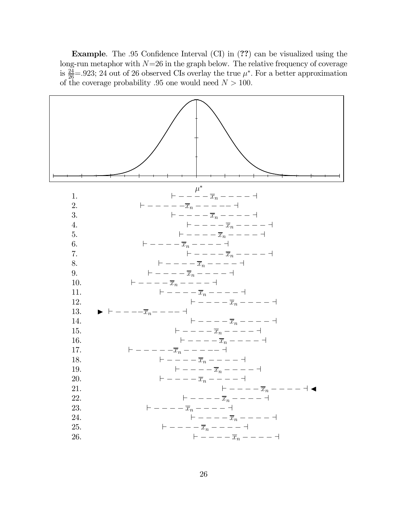Example. The 95 Confidence Interval (CI) in (??) can be visualized using the long-run metaphor with  $N=26$  in the graph below. The relative frequency of coverage is  $\frac{24}{26}$ =.923; 24 out of 26 observed CIs overlay the true  $\mu^*$ . For a better approximation of the coverage probability .95 one would need  $N > 100$ .

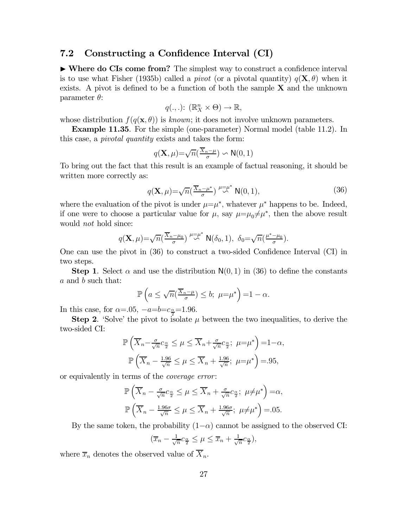### 7.2 Constructing a Confidence Interval (CI)

 $\triangleright$  Where do CIs come from? The simplest way to construct a confidence interval is to use what Fisher (1935b) called a *pivot* (or a pivotal quantity)  $q(\mathbf{X}, \theta)$  when it exists. A pivot is defined to be a function of both the sample  $X$  and the unknown parameter  $\theta$ :

$$
q(.,.)\colon (\mathbb{R}^n_X \times \Theta) \to \mathbb{R},
$$

whose distribution  $f(q(\mathbf{x}, \theta))$  is known; it does not involve unknown parameters.

Example 11.35. For the simple (one-parameter) Normal model (table 11.2). In this case, a pivotal quantity exists and takes the form:

$$
q(\mathbf{X}, \mu) = \sqrt{n}(\frac{\overline{X}_n - \mu}{\sigma}) \backsim \mathsf{N}(0, 1)
$$

To bring out the fact that this result is an example of factual reasoning, it should be written more correctly as:

$$
q(\mathbf{X}, \mu) = \sqrt{n} \left( \frac{\overline{X}_n - \mu^*}{\sigma} \right) \stackrel{\mu = \mu^*}{\sim} \mathsf{N}(0, 1), \tag{36}
$$

where the evaluation of the pivot is under  $\mu = \mu^*$ , whatever  $\mu^*$  happens to be. Indeed, if one were to choose a particular value for  $\mu$ , say  $\mu = \mu_0 \neq \mu^*$ , then the above result would *not* hold since:

$$
q(\mathbf{X},\mu)=\sqrt{n}(\frac{\overline{X}_n-\mu_0}{\sigma})\stackrel{\mu=\mu^*}{\leadsto}\mathsf{N}(\delta_0,1),\ \delta_0=\sqrt{n}(\frac{\mu^*-\mu_0}{\sigma}).
$$

One can use the pivot in (36) to construct a two-sided Confidence Interval (CI) in two steps.

**Step 1.** Select  $\alpha$  and use the distribution  $N(0, 1)$  in (36) to define the constants  $a$  and  $b$  such that:

$$
\mathbb{P}\left(a\leq \sqrt{n}(\frac{\overline{X}_n-\mu}{\sigma})\leq b;\ \mu=\mu^*\right)=1-\alpha.
$$

In this case, for  $\alpha = 0.05$ ,  $-a=b=c_{\frac{\alpha}{2}}=1.96$ .

**Step 2.** 'Solve' the pivot to isolate  $\mu$  between the two inequalities, to derive the two-sided CI:

$$
\mathbb{P}\left(\overline{X}_n - \frac{\sigma}{\sqrt{n}}c_{\frac{\alpha}{2}} \le \mu \le \overline{X}_n + \frac{\sigma}{\sqrt{n}}c_{\frac{\alpha}{2}}; \ \mu = \mu^*\right) = 1 - \alpha,
$$
  

$$
\mathbb{P}\left(\overline{X}_n - \frac{1.96}{\sqrt{n}} \le \mu \le \overline{X}_n + \frac{1.96}{\sqrt{n}}; \ \mu = \mu^*\right) = .95,
$$

or equivalently in terms of the coverage error:

$$
\mathbb{P}\left(\overline{X}_n - \frac{\sigma}{\sqrt{n}}c_{\frac{\alpha}{2}} \le \mu \le \overline{X}_n + \frac{\sigma}{\sqrt{n}}c_{\frac{\alpha}{2}}; \ \mu \ne \mu^*\right) = \alpha,
$$
  

$$
\mathbb{P}\left(\overline{X}_n - \frac{1.96\sigma}{\sqrt{n}} \le \mu \le \overline{X}_n + \frac{1.96\sigma}{\sqrt{n}}; \ \mu \ne \mu^*\right) = .05.
$$

By the same token, the probability  $(1-\alpha)$  cannot be assigned to the observed CI:

$$
(\overline{x}_n - \frac{1}{\sqrt{n}}c_{\frac{\alpha}{2}} \leq \mu \leq \overline{x}_n + \frac{1}{\sqrt{n}}c_{\frac{\alpha}{2}}),
$$

where  $\overline{x}_n$  denotes the observed value of  $X_n$ .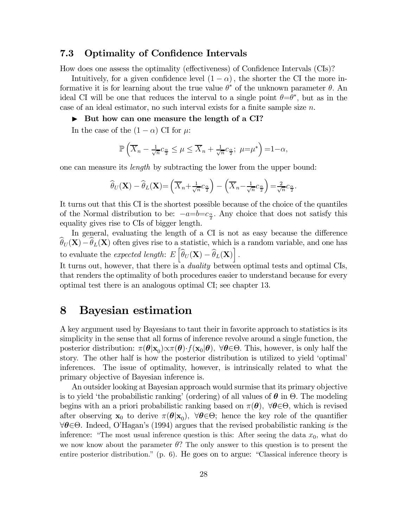### 7.3 Optimality of Confidence Intervals

How does one assess the optimality (effectiveness) of Confidence Intervals (CIs)?

Intuitively, for a given confidence level  $(1 - \alpha)$ , the shorter the CI the more informative it is for learning about the true value  $\theta^*$  of the unknown parameter  $\theta$ . An ideal CI will be one that reduces the interval to a single point  $\theta = \theta^*$ , but as in the case of an ideal estimator, no such interval exists for a finite sample size  $n$ .

#### $\triangleright$  But how can one measure the length of a CI?

In the case of the  $(1 - \alpha)$  CI for  $\mu$ :

$$
\mathbb{P}\left(\overline{X}_n - \frac{1}{\sqrt{n}}c_{\frac{\alpha}{2}} \leq \mu \leq \overline{X}_n + \frac{1}{\sqrt{n}}c_{\frac{\alpha}{2}}; \ \mu = \mu^*\right) = 1 - \alpha,
$$

one can measure its *length* by subtracting the lower from the upper bound:

$$
\widehat{\theta}_U(\mathbf{X}) - \widehat{\theta}_L(\mathbf{X}) = \left(\overline{X}_n + \frac{1}{\sqrt{n}}c_{\frac{\alpha}{2}}\right) - \left(\overline{X}_n - \frac{1}{\sqrt{n}}c_{\frac{\alpha}{2}}\right) = \frac{2}{\sqrt{n}}c_{\frac{\alpha}{2}}.
$$

It turns out that this CI is the shortest possible because of the choice of the quantiles of the Normal distribution to be:  $-a=b=c_{\frac{\alpha}{2}}$ . Any choice that does not satisfy this equality gives rise to CIs of bigger length.

In general, evaluating the length of a CI is not as easy because the difference  $\widehat{\theta}_U(\mathbf{X})-\widehat{\theta}_L(\mathbf{X})$  often gives rise to a statistic, which is a random variable, and one has to evaluate the *expected length*:  $E\left[\widehat{\theta}_U(\mathbf{X}) - \widehat{\theta}_L(\mathbf{X})\right]$ .

It turns out, however, that there is a *duality* between optimal tests and optimal CIs, that renders the optimality of both procedures easier to understand because for every optimal test there is an analogous optimal CI; see chapter 13.

## 8 Bayesian estimation

A key argument used by Bayesians to taut their in favorite approach to statistics is its simplicity in the sense that all forms of inference revolve around a single function, the posterior distribution:  $\pi(\theta|\mathbf{x}_0)\propto \pi(\theta) \cdot f(\mathbf{x}_0|\theta)$ ,  $\forall \theta \in \Theta$ . This, however, is only half the story. The other half is how the posterior distribution is utilized to yield 'optimal' inferences. The issue of optimality, however, is intrinsically related to what the primary objective of Bayesian inference is.

An outsider looking at Bayesian approach would surmise that its primary objective is to yield 'the probabilistic ranking' (ordering) of all values of  $\theta$  in  $\Theta$ . The modeling begins with an a priori probabilistic ranking based on  $\pi(\theta)$ ,  $\forall \theta \in \Theta$ , which is revised after observing  $\mathbf{x}_0$  to derive  $\pi(\theta|\mathbf{x}_0)$ ,  $\forall \theta \in \Theta$ ; hence the key role of the quantifier  $\forall \theta \in \Theta$ . Indeed, O'Hagan's (1994) argues that the revised probabilistic ranking is the inference: "The most usual inference question is this: After seeing the data  $x_0$ , what do we now know about the parameter  $\theta$ ? The only answer to this question is to present the entire posterior distribution." (p. 6). He goes on to argue: "Classical inference theory is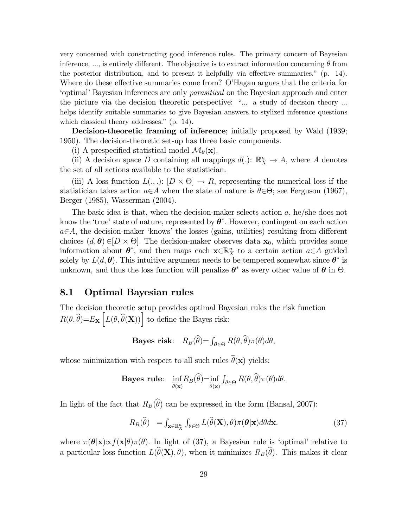very concerned with constructing good inference rules. The primary concern of Bayesian inference, ..., is entirely different. The objective is to extract information concerning  $\theta$  from the posterior distribution, and to present it helpfully via effective summaries." (p. 14). Where do these effective summaries come from? O'Hagan argues that the criteria for 'optimal' Bayesian inferences are only parasitical on the Bayesian approach and enter the picture via the decision theoretic perspective: "... a study of decision theory ... helps identify suitable summaries to give Bayesian answers to stylized inference questions which classical theory addresses." (p. 14).

Decision-theoretic framing of inference; initially proposed by Wald (1939; 1950). The decision-theoretic set-up has three basic components.

(i) A prespecified statistical model  $\mathcal{M}_{\theta}(\mathbf{x})$ .

(ii) A decision space D containing all mappings  $d(.)\colon \mathbb{R}^n_X \to A$ , where A denotes the set of all actions available to the statistician.

(iii) A loss function  $L(.,.): |D \times \Theta| \to R$ , representing the numerical loss if the statistician takes action  $a \in A$  when the state of nature is  $\theta \in \Theta$ ; see Ferguson (1967), Berger (1985), Wasserman (2004).

The basic idea is that, when the decision-maker selects action  $a$ , he/she does not know the 'true' state of nature, represented by  $\theta^*$ . However, contingent on each action  $a \in A$ , the decision-maker 'knows' the losses (gains, utilities) resulting from different choices  $(d, \theta) \in [D \times \Theta]$ . The decision-maker observes data  $\mathbf{x}_0$ , which provides some information about  $\theta^*$ , and then maps each  $\mathbf{x} \in \mathbb{R}^n$  to a certain action  $a \in A$  guided solely by  $L(d, \theta)$ . This intuitive argument needs to be tempered somewhat since  $\theta^*$  is unknown, and thus the loss function will penalize  $\theta^*$  as every other value of  $\theta$  in  $\Theta$ .

### 8.1 Optimal Bayesian rules

The decision theoretic setup provides optimal Bayesian rules the risk function  $R(\theta, \widehat{\theta}) = E_{\mathbf{X}} \left[ L(\theta, \widehat{\theta}(\mathbf{X})) \right]$  to define the Bayes risk:

**Bayes risk:** 
$$
R_B(\widehat{\theta}) = \int_{\theta \in \Theta} R(\theta, \widehat{\theta}) \pi(\theta) d\theta
$$
,

whose minimization with respect to all such rules  $\tilde{\theta}(\mathbf{x})$  yields:

**Bayes rule:** 
$$
\inf_{\widehat{\theta}(\mathbf{x})} R_B(\widehat{\theta}) = \inf_{\widehat{\theta}(\mathbf{x})} \int_{\theta \in \Theta} R(\theta, \widehat{\theta}) \pi(\theta) d\theta.
$$

In light of the fact that  $R_B(\widehat{\theta})$  can be expressed in the form (Bansal, 2007):

$$
R_B(\widehat{\theta}) = \int_{\mathbf{x} \in \mathbb{R}_X^n} \int_{\theta \in \Theta} L(\widehat{\theta}(\mathbf{X}), \theta) \pi(\theta | \mathbf{x}) d\theta d\mathbf{x}.
$$
 (37)

where  $\pi(\theta|\mathbf{x}) \propto f(\mathbf{x}|\theta)\pi(\theta)$ . In light of (37), a Bayesian rule is 'optimal' relative to a particular loss function  $L(\widehat{\theta}(\mathbf{X}), \theta)$ , when it minimizes  $R_B(\widehat{\theta})$ . This makes it clear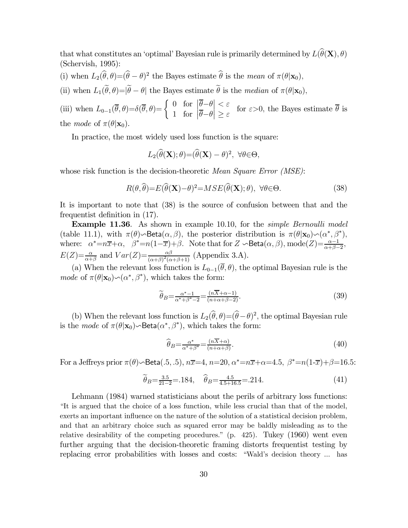that what constitutes an 'optimal' Bayesian rule is primarily determined by  $L(\hat{\theta}(\mathbf{X}), \theta)$ (Schervish, 1995):

(i) when  $L_2(\hat{\theta}, \theta) = (\hat{\theta} - \theta)^2$  the Bayes estimate  $\hat{\theta}$  is the mean of  $\pi(\theta|\mathbf{x}_0)$ ,

(ii) when  $L_1(\theta, \theta) = |\theta - \theta|$  the Bayes estimate  $\theta$  is the *median* of  $\pi(\theta | \mathbf{x}_0)$ ,

(iii) when  $L_{0-1}(\overline{\theta}, \theta) = \delta(\overline{\theta}, \theta) = \begin{cases} 0 & \text{for } \left| \overline{\theta} - \theta \right| < \varepsilon \\ 1 & \text{for } \left| \overline{\theta} - \theta \right| > \varepsilon \end{cases}$  $\begin{vmatrix} 1 & \text{for } |z| > \epsilon \\ 1 & \text{for } |z - \theta| \geq \epsilon \end{vmatrix} \geq \epsilon$  for  $\epsilon > 0$ , the Bayes estimate  $\theta$  is the mode of  $\pi(\theta|\mathbf{x}_0)$ .

In practice, the most widely used loss function is the square:

$$
L_2(\widehat{\theta}(\mathbf{X}); \theta) = (\widehat{\theta}(\mathbf{X}) - \theta)^2, \ \forall \theta \in \Theta,
$$

whose risk function is the decision-theoretic *Mean Square Error (MSE)*:

$$
R(\theta, \hat{\theta}) = E(\hat{\theta}(\mathbf{X}) - \theta)^2 = MSE(\hat{\theta}(\mathbf{X}); \theta), \ \forall \theta \in \Theta.
$$
 (38)

It is important to note that (38) is the source of confusion between that and the frequentist definition in (17).

Example 11.36. As shown in example 10.10, for the simple Bernoulli model (table 11.1), with  $\pi(\theta) \sim \text{Beta}(\alpha, \beta)$ , the posterior distribution is  $\pi(\theta | \mathbf{x}_0) \sim (\alpha^*, \beta^*)$ , where:  $\alpha^* = n\overline{x} + \alpha$ ,  $\beta^* = n(1-\overline{x}) + \beta$ . Note that for  $Z \sim \text{Beta}(\alpha, \beta)$ , mode $(Z) = \frac{\alpha-1}{\alpha+\beta-2}$ ,  $E(Z) = \frac{\alpha}{\alpha + \beta}$  and  $Var(Z) = \frac{\alpha\beta}{(\alpha + \beta)^2(\alpha + \beta + 1)}$  (Appendix 3.A).

(a) When the relevant loss function is  $L_{0-1}(\bar{\theta}, \theta)$ , the optimal Bayesian rule is the *mode* of  $\pi(\theta|\mathbf{x}_0) \sim (\alpha^*, \beta^*)$ , which takes the form:

$$
\widetilde{\theta}_B = \frac{\alpha^* - 1}{\alpha^* + \beta^* - 2} = \frac{(n\overline{X} + \alpha - 1)}{(n + \alpha + \beta - 2)}.
$$
\n(39)

(b) When the relevant loss function is  $L_2(\hat{\theta}, \theta) = (\hat{\theta} - \theta)^2$ , the optimal Bayesian rule is the *mode* of  $\pi(\theta|\mathbf{x}_0) \sim \text{Beta}(\alpha^*, \beta^*)$ , which takes the form:

$$
\widehat{\theta}_B = \frac{\alpha^*}{\alpha^* + \beta^*} = \frac{(n\overline{X} + \alpha)}{(n + \alpha + \beta)}.
$$
\n(40)

For a Jeffreys prior  $\pi(\theta)$   $\sim$  Beta $(.5, .5), n\overline{x}$  =4,  $n$  = 20,  $\alpha^*$  = $n\overline{x}$  +  $\alpha$  = 4.5,  $\beta^*$  = $n(1-\overline{x})$  +  $\beta$  = 16.5:

$$
\widetilde{\theta}_B = \frac{3.5}{21 - 2} = .184, \quad \widehat{\theta}_B = \frac{4.5}{4.5 + 16.5} = .214. \tag{41}
$$

Lehmann (1984) warned statisticians about the perils of arbitrary loss functions: "It is argued that the choice of a loss function, while less crucial than that of the model, exerts an important influence on the nature of the solution of a statistical decision problem, and that an arbitrary choice such as squared error may be baldly misleading as to the relative desirability of the competing procedures." (p. 425). Tukey (1960) went even further arguing that the decision-theoretic framing distorts frequentist testing by replacing error probabilities with losses and costs: "Wald's decision theory ... has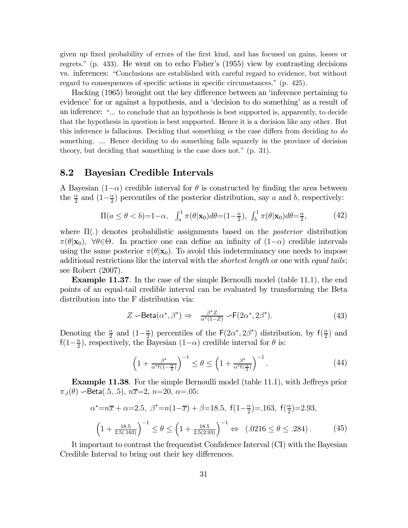given up fixed probability of errors of the first kind, and has focused on gains, losses or regrets." (p. 433). He went on to echo Fisher's (1955) view by contrasting decisions vs. inferences: "Conclusions are established with careful regard to evidence, but without regard to consequences of specific actions in specific circumstances." (p. 425).

Hacking (1965) brought out the key difference between an 'inference pertaining to evidence' for or against a hypothesis, and a 'decision to do something' as a result of an inference: "... to conclude that an hypothesis is best supported is, apparently, to decide that the hypothesis in question is best supported. Hence it is a decision like any other. But this inference is fallacious. Deciding that something is the case differs from deciding to  $d\sigma$ something. ... Hence deciding to do something falls squarely in the province of decision theory, but deciding that something is the case does not." (p. 31).

### 8.2 Bayesian Credible Intervals

A Bayesian (1– $\alpha$ ) credible interval for  $\theta$  is constructed by finding the area between the  $\frac{\alpha}{2}$  and  $(1-\frac{\alpha}{2})$  percentiles of the posterior distribution, say a and b, respectively:

$$
\Pi(a \le \theta < b) = 1 - \alpha, \quad \int_a^1 \pi(\theta | \mathbf{x}_0) d\theta = (1 - \frac{\alpha}{2}), \quad \int_b^1 \pi(\theta | \mathbf{x}_0) d\theta = \frac{\alpha}{2}, \tag{42}
$$

where  $\Pi(.)$  denotes probabilistic assignments based on the *posterior* distribution  $\pi(\theta|\mathbf{x}_0)$ ,  $\forall \theta \in \Theta$ . In practice one can define an infinity of  $(1-\alpha)$  credible intervals using the same posterior  $\pi(\theta|\mathbf{x}_0)$ . To avoid this indeterminancy one needs to impose additional restrictions like the interval with the *shortest length* or one with *equal tails*; see Robert (2007).

Example 11.37. In the case of the simple Bernoulli model (table 11.1), the end points of an equal-tail credible interval can be evaluated by transforming the Beta distribution into the F distribution via:

$$
Z \sim \text{Beta}(\alpha^*, \beta^*) \Rightarrow \frac{\beta^* Z}{\alpha^*(1 - Z)} \sim F(2\alpha^*, 2\beta^*). \tag{43}
$$

Denoting the  $\frac{\alpha}{2}$  and  $(1-\frac{\alpha}{2})$  percentiles of the  $F(2\alpha^*, 2\beta^*)$  distribution, by  $f(\frac{\alpha}{2})$  and  $f(1-\frac{\alpha}{2})$ , respectively, the Bayesian  $(1-\alpha)$  credible interval for  $\theta$  is:

$$
\left(1 + \frac{\beta^*}{\alpha^* f(1 - \frac{\alpha}{2})}\right)^{-1} \le \theta \le \left(1 + \frac{\beta^*}{\alpha^* f(\frac{\alpha}{2})}\right)^{-1}.\tag{44}
$$

Example 11.38. For the simple Bernoulli model (table 11.1), with Jeffreys prior  $\pi_J(\theta)$   $\sim$  Beta(.5, .5),  $n\overline{x}=2$ ,  $n=20$ ,  $\alpha=0.05$ :

$$
\alpha^* = n\overline{x} + \alpha = 2.5, \ \beta^* = n(1 - \overline{x}) + \beta = 18.5, \ \mathsf{f}(1 - \frac{\alpha}{2}) = .163, \ \mathsf{f}(\frac{\alpha}{2}) = 2.93, \left(1 + \frac{18.5}{2.5(.163)}\right)^{-1} \le \theta \le \left(1 + \frac{18.5}{2.5(2.93)}\right)^{-1} \Leftrightarrow \ (.0216 \le \theta \le .284). \tag{45}
$$

It important to contrast the frequentist Confidence Interval (CI) with the Bayesian Credible Interval to bring out their key differences.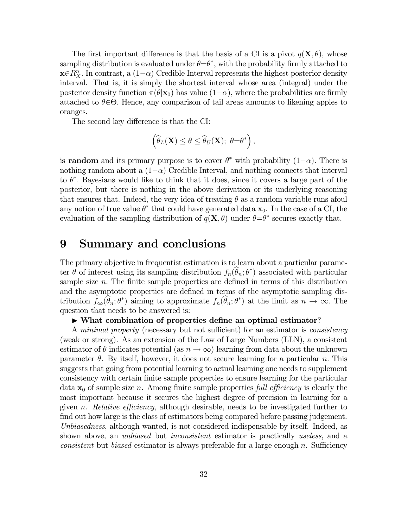The first important difference is that the basis of a CI is a pivot  $q(\mathbf{X}, \theta)$ , whose sampling distribution is evaluated under  $\theta = \theta^*$ , with the probability firmly attached to  $\mathbf{x} \in R_X^n$ . In contrast, a  $(1-\alpha)$  Credible Interval represents the highest posterior density interval. That is, it is simply the shortest interval whose area (integral) under the posterior density function  $\pi(\theta|\mathbf{x}_0)$  has value  $(1-\alpha)$ , where the probabilities are firmly attached to  $\theta \in \Theta$ . Hence, any comparison of tail areas amounts to likening apples to oranges.

The second key difference is that the CI:

$$
\left(\widehat{\theta}_L(\mathbf{X}) \leq \theta \leq \widehat{\theta}_U(\mathbf{X}); \ \theta = \theta^*\right),\
$$

is **random** and its primary purpose is to cover  $\theta^*$  with probability  $(1-\alpha)$ . There is nothing random about a  $(1-\alpha)$  Credible Interval, and nothing connects that interval to  $\theta^*$ . Bayesians would like to think that it does, since it covers a large part of the posterior, but there is nothing in the above derivation or its underlying reasoning that ensures that. Indeed, the very idea of treating  $\theta$  as a random variable runs afoul any notion of true value  $\theta^*$  that could have generated data  $\mathbf{x}_0$ . In the case of a CI, the evaluation of the sampling distribution of  $q(\mathbf{X}, \theta)$  under  $\theta = \theta^*$  secures exactly that.

# 9 Summary and conclusions

The primary objective in frequentist estimation is to learn about a particular parameter  $\theta$  of interest using its sampling distribution  $f_n(\theta_n; \theta^*)$  associated with particular sample size  $n$ . The finite sample properties are defined in terms of this distribution and the asymptotic properties are defined in terms of the asymptotic sampling distribution  $f_{\infty}(\theta_n; \theta^*)$  aiming to approximate  $f_n(\theta_n; \theta^*)$  at the limit as  $n \to \infty$ . The question that needs to be answered is:

#### $\triangleright$  What combination of properties define an optimal estimator?

A minimal property (necessary but not sufficient) for an estimator is consistency (weak or strong). As an extension of the Law of Large Numbers (LLN), a consistent estimator of  $\theta$  indicates potential (as  $n \to \infty$ ) learning from data about the unknown parameter  $\theta$ . By itself, however, it does not secure learning for a particular *n*. This suggests that going from potential learning to actual learning one needs to supplement consistency with certain finite sample properties to ensure learning for the particular data  $x_0$  of sample size n. Among finite sample properties full efficiency is clearly the most important because it secures the highest degree of precision in learning for a given n. Relative efficiency, although desirable, needs to be investigated further to find out how large is the class of estimators being compared before passing judgement. Unbiasedness, although wanted, is not considered indispensable by itself. Indeed, as shown above, an *unbiased* but *inconsistent* estimator is practically useless, and a *consistent* but *biased* estimator is always preferable for a large enough  $n$ . Sufficiency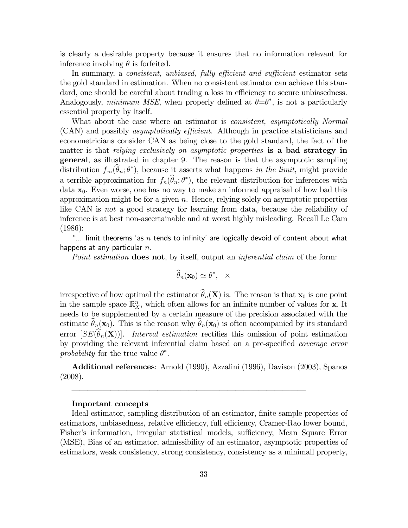is clearly a desirable property because it ensures that no information relevant for inference involving  $\theta$  is forfeited.

In summary, a *consistent, unbiased, fully efficient and sufficient* estimator sets the gold standard in estimation. When no consistent estimator can achieve this standard, one should be careful about trading a loss in efficiency to secure unbiasedness. Analogously, *minimum MSE*, when properly defined at  $\theta = \theta^*$ , is not a particularly essential property by itself.

What about the case where an estimator is *consistent, asymptotically Normal* (CAN) and possibly asymptotically efficient. Although in practice statisticians and econometricians consider CAN as being close to the gold standard, the fact of the matter is that relying exclusively on asymptotic properties is a bad strategy in general, as illustrated in chapter 9. The reason is that the asymptotic sampling distribution  $f_{\infty}(\theta_n; \theta^*)$ , because it asserts what happens in the limit, might provide a terrible approximation for  $f_n(\theta_n; \theta^*)$ , the relevant distribution for inferences with data  $x_0$ . Even worse, one has no way to make an informed appraisal of how bad this approximation might be for a given  $n$ . Hence, relying solely on asymptotic properties like CAN is not a good strategy for learning from data, because the reliability of inference is at best non-ascertainable and at worst highly misleading. Recall Le Cam (1986):

"... limit theorems 'as  $n$  tends to infinity' are logically devoid of content about what happens at any particular  $n$ .

Point estimation **does not**, by itself, output an *inferential claim* of the form:

$$
\widehat{\theta}_n(\mathbf{x}_0) \simeq \theta^*, \quad \times
$$

irrespective of how optimal the estimator  $\widehat{\theta}_n(\mathbf{X})$  is. The reason is that  $\mathbf{x}_0$  is one point in the sample space  $\mathbb{R}_{X}^{n}$ , which often allows for an infinite number of values for **x**. It needs to be supplemented by a certain measure of the precision associated with the estimate  $\hat{\theta}_n(\mathbf{x}_0)$ . This is the reason why  $\hat{\theta}_n(\mathbf{x}_0)$  is often accompanied by its standard error  $[SE(\hat{\theta}_n(\mathbf{X}))]$ . Interval estimation rectifies this omission of point estimation by providing the relevant inferential claim based on a pre-specified coverage error probability for the true value  $\theta^*$ .

Additional references: Arnold (1990), Azzalini (1996), Davison (2003), Spanos (2008).

––––––––––––––––––––––––––––––

#### Important concepts

Ideal estimator, sampling distribution of an estimator, finite sample properties of estimators, unbiasedness, relative efficiency, full efficiency, Cramer-Rao lower bound, Fisher's information, irregular statistical models, sufficiency, Mean Square Error (MSE), Bias of an estimator, admissibility of an estimator, asymptotic properties of estimators, weak consistency, strong consistency, consistency as a minimall property,